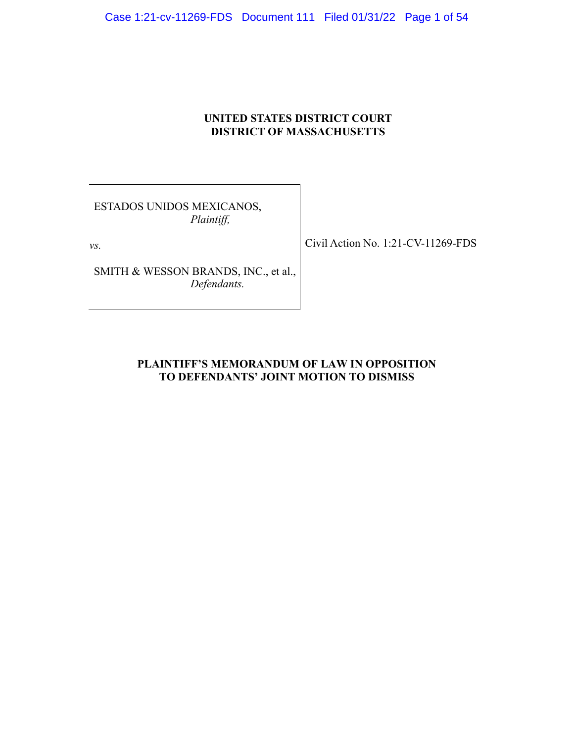Case 1:21-cv-11269-FDS Document 111 Filed 01/31/22 Page 1 of 54

## **UNITED STATES DISTRICT COURT DISTRICT OF MASSACHUSETTS**

ESTADOS UNIDOS MEXICANOS, *Plaintiff,*

*vs.*

SMITH & WESSON BRANDS, INC., et al., *Defendants.*

Civil Action No. 1:21-CV-11269-FDS

## **PLAINTIFF'S MEMORANDUM OF LAW IN OPPOSITION TO DEFENDANTS' JOINT MOTION TO DISMISS**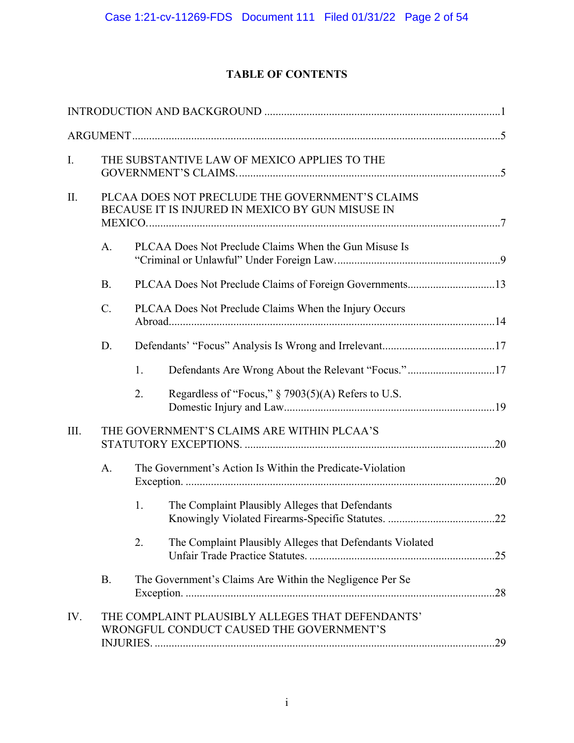# **TABLE OF CONTENTS**

| I.   | THE SUBSTANTIVE LAW OF MEXICO APPLIES TO THE                                                        |                                                         |                                                                                              |     |  |
|------|-----------------------------------------------------------------------------------------------------|---------------------------------------------------------|----------------------------------------------------------------------------------------------|-----|--|
| II.  | PLCAA DOES NOT PRECLUDE THE GOVERNMENT'S CLAIMS<br>BECAUSE IT IS INJURED IN MEXICO BY GUN MISUSE IN |                                                         |                                                                                              |     |  |
|      | A.                                                                                                  | PLCAA Does Not Preclude Claims When the Gun Misuse Is   |                                                                                              |     |  |
|      | <b>B.</b>                                                                                           | PLCAA Does Not Preclude Claims of Foreign Governments13 |                                                                                              |     |  |
|      | C.                                                                                                  | PLCAA Does Not Preclude Claims When the Injury Occurs   |                                                                                              |     |  |
|      | D.                                                                                                  |                                                         |                                                                                              |     |  |
|      |                                                                                                     | 1.                                                      |                                                                                              |     |  |
|      |                                                                                                     | 2.                                                      | Regardless of "Focus," § 7903(5)(A) Refers to U.S.                                           |     |  |
| III. | THE GOVERNMENT'S CLAIMS ARE WITHIN PLCAA'S                                                          |                                                         |                                                                                              |     |  |
|      | A.<br>The Government's Action Is Within the Predicate-Violation                                     |                                                         |                                                                                              |     |  |
|      |                                                                                                     | 1.                                                      | The Complaint Plausibly Alleges that Defendants                                              |     |  |
|      |                                                                                                     | 2.                                                      | The Complaint Plausibly Alleges that Defendants Violated                                     |     |  |
|      | <b>B.</b>                                                                                           |                                                         | The Government's Claims Are Within the Negligence Per Se                                     | .28 |  |
| IV.  |                                                                                                     |                                                         | THE COMPLAINT PLAUSIBLY ALLEGES THAT DEFENDANTS'<br>WRONGFUL CONDUCT CAUSED THE GOVERNMENT'S |     |  |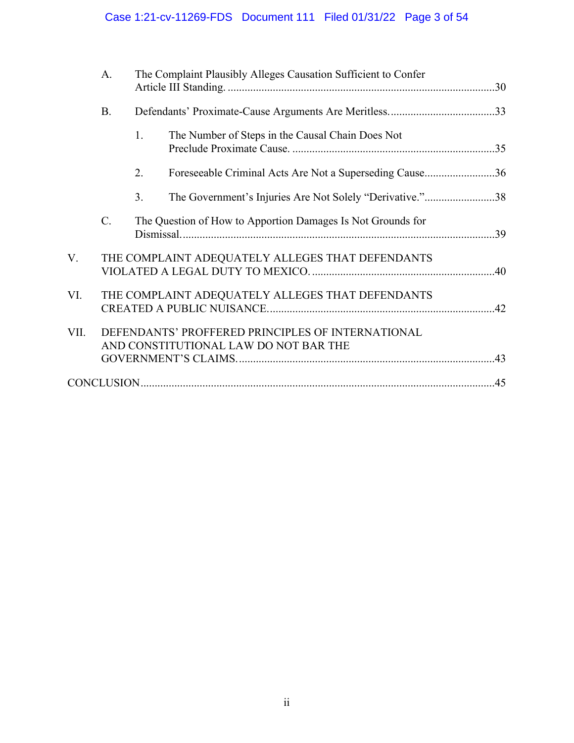# Case 1:21-cv-11269-FDS Document 111 Filed 01/31/22 Page 3 of 54

| The Complaint Plausibly Alleges Causation Sufficient to Confer                                     |  |
|----------------------------------------------------------------------------------------------------|--|
| <b>B.</b>                                                                                          |  |
| 1.<br>The Number of Steps in the Causal Chain Does Not                                             |  |
| Foreseeable Criminal Acts Are Not a Superseding Cause36<br>2.                                      |  |
| The Government's Injuries Are Not Solely "Derivative."38<br>3.                                     |  |
| $C$ .<br>The Question of How to Apportion Damages Is Not Grounds for                               |  |
| V.<br>THE COMPLAINT ADEQUATELY ALLEGES THAT DEFENDANTS                                             |  |
| VI.<br>THE COMPLAINT ADEQUATELY ALLEGES THAT DEFENDANTS                                            |  |
| VII.<br>DEFENDANTS' PROFFERED PRINCIPLES OF INTERNATIONAL<br>AND CONSTITUTIONAL LAW DO NOT BAR THE |  |
|                                                                                                    |  |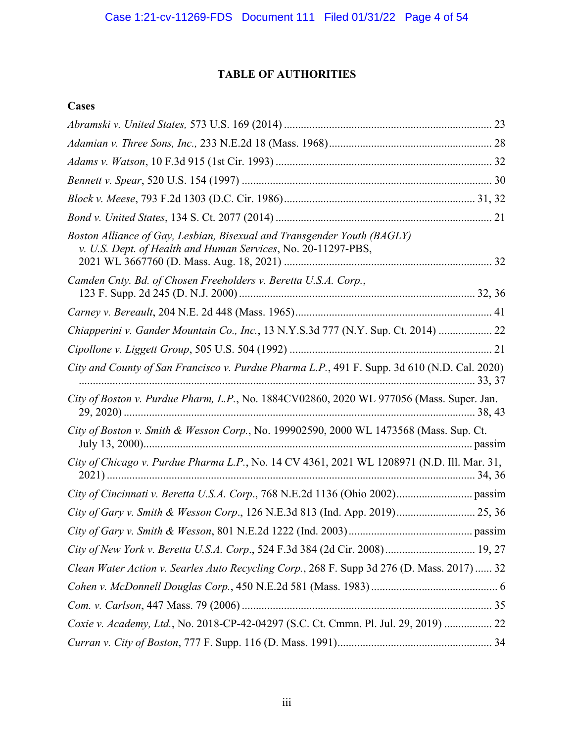# **TABLE OF AUTHORITIES**

# **Cases**

| Boston Alliance of Gay, Lesbian, Bisexual and Transgender Youth (BAGLY)<br>v. U.S. Dept. of Health and Human Services, No. 20-11297-PBS, |
|------------------------------------------------------------------------------------------------------------------------------------------|
| Camden Cnty. Bd. of Chosen Freeholders v. Beretta U.S.A. Corp.,                                                                          |
|                                                                                                                                          |
| Chiapperini v. Gander Mountain Co., Inc., 13 N.Y.S.3d 777 (N.Y. Sup. Ct. 2014)  22                                                       |
|                                                                                                                                          |
| City and County of San Francisco v. Purdue Pharma L.P., 491 F. Supp. 3d 610 (N.D. Cal. 2020)                                             |
| City of Boston v. Purdue Pharm, L.P., No. 1884CV02860, 2020 WL 977056 (Mass. Super. Jan.                                                 |
| City of Boston v. Smith & Wesson Corp., No. 199902590, 2000 WL 1473568 (Mass. Sup. Ct.                                                   |
| City of Chicago v. Purdue Pharma L.P., No. 14 CV 4361, 2021 WL 1208971 (N.D. Ill. Mar. 31,                                               |
|                                                                                                                                          |
| City of Gary v. Smith & Wesson Corp., 126 N.E.3d 813 (Ind. App. 2019) 25, 36                                                             |
|                                                                                                                                          |
|                                                                                                                                          |
| Clean Water Action v. Searles Auto Recycling Corp., 268 F. Supp 3d 276 (D. Mass. 2017)  32                                               |
|                                                                                                                                          |
|                                                                                                                                          |
| Coxie v. Academy, Ltd., No. 2018-CP-42-04297 (S.C. Ct. Cmmn. Pl. Jul. 29, 2019)  22                                                      |
|                                                                                                                                          |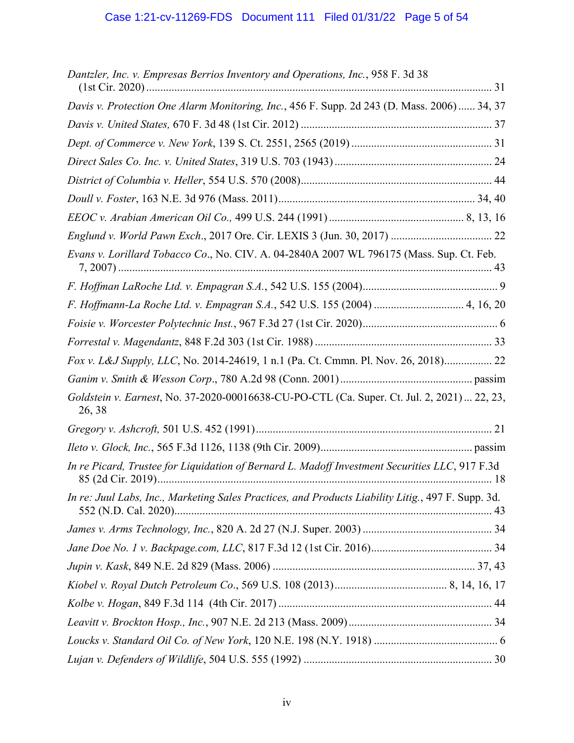| Dantzler, Inc. v. Empresas Berrios Inventory and Operations, Inc., 958 F. 3d 38                       |
|-------------------------------------------------------------------------------------------------------|
| Davis v. Protection One Alarm Monitoring, Inc., 456 F. Supp. 2d 243 (D. Mass. 2006)  34, 37           |
|                                                                                                       |
|                                                                                                       |
|                                                                                                       |
|                                                                                                       |
|                                                                                                       |
|                                                                                                       |
|                                                                                                       |
| Evans v. Lorillard Tobacco Co., No. CIV. A. 04-2840A 2007 WL 796175 (Mass. Sup. Ct. Feb.              |
|                                                                                                       |
| F. Hoffmann-La Roche Ltd. v. Empagran S.A., 542 U.S. 155 (2004)  4, 16, 20                            |
|                                                                                                       |
|                                                                                                       |
| Fox v. L&J Supply, LLC, No. 2014-24619, 1 n.1 (Pa. Ct. Cmmn. Pl. Nov. 26, 2018) 22                    |
|                                                                                                       |
| Goldstein v. Earnest, No. 37-2020-00016638-CU-PO-CTL (Ca. Super. Ct. Jul. 2, 2021)  22, 23,<br>26, 38 |
|                                                                                                       |
|                                                                                                       |
| In re Picard, Trustee for Liquidation of Bernard L. Madoff Investment Securities LLC, 917 F.3d        |
| In re: Juul Labs, Inc., Marketing Sales Practices, and Products Liability Litig., 497 F. Supp. 3d.    |
|                                                                                                       |
|                                                                                                       |
|                                                                                                       |
|                                                                                                       |
|                                                                                                       |
|                                                                                                       |
|                                                                                                       |
|                                                                                                       |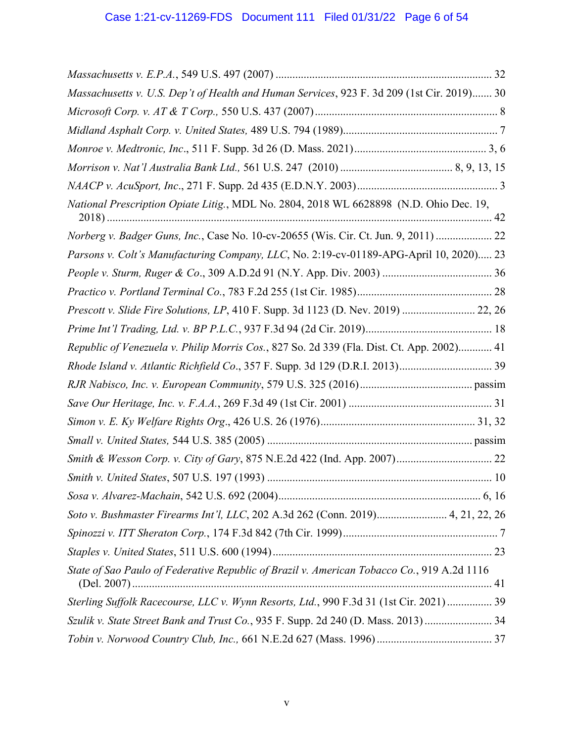| Massachusetts v. U.S. Dep't of Health and Human Services, 923 F. 3d 209 (1st Cir. 2019) 30 |
|--------------------------------------------------------------------------------------------|
|                                                                                            |
|                                                                                            |
|                                                                                            |
|                                                                                            |
|                                                                                            |
| National Prescription Opiate Litig., MDL No. 2804, 2018 WL 6628898 (N.D. Ohio Dec. 19,     |
| Norberg v. Badger Guns, Inc., Case No. 10-cv-20655 (Wis. Cir. Ct. Jun. 9, 2011)  22        |
| Parsons v. Colt's Manufacturing Company, LLC, No. 2:19-cv-01189-APG-April 10, 2020) 23     |
|                                                                                            |
|                                                                                            |
| Prescott v. Slide Fire Solutions, LP, 410 F. Supp. 3d 1123 (D. Nev. 2019)  22, 26          |
|                                                                                            |
| Republic of Venezuela v. Philip Morris Cos., 827 So. 2d 339 (Fla. Dist. Ct. App. 2002) 41  |
|                                                                                            |
|                                                                                            |
|                                                                                            |
|                                                                                            |
|                                                                                            |
|                                                                                            |
|                                                                                            |
|                                                                                            |
| Soto v. Bushmaster Firearms Int'l, LLC, 202 A.3d 262 (Conn. 2019) 4, 21, 22, 26            |
|                                                                                            |
|                                                                                            |
| State of Sao Paulo of Federative Republic of Brazil v. American Tobacco Co., 919 A.2d 1116 |
| Sterling Suffolk Racecourse, LLC v. Wynn Resorts, Ltd., 990 F.3d 31 (1st Cir. 2021) 39     |
| Szulik v. State Street Bank and Trust Co., 935 F. Supp. 2d 240 (D. Mass. 2013)  34         |
|                                                                                            |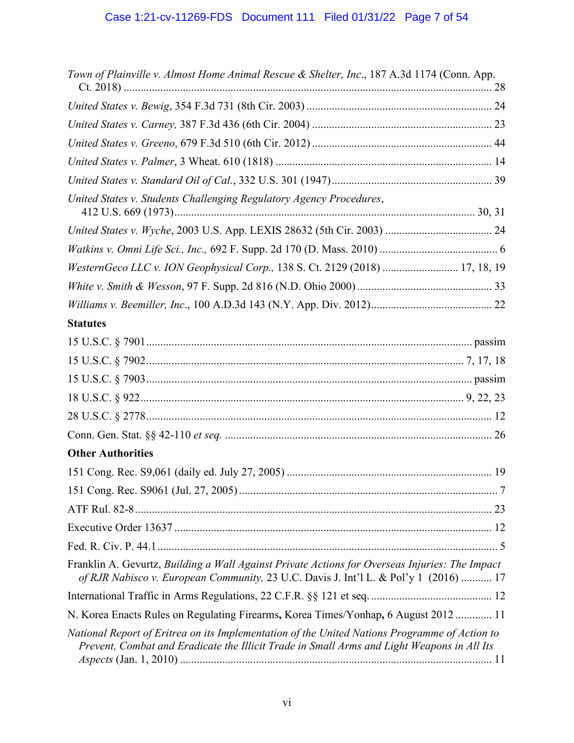| Town of Plainville v. Almost Home Animal Rescue & Shelter, Inc., 187 A.3d 1174 (Conn. App.                                                                                                  |
|---------------------------------------------------------------------------------------------------------------------------------------------------------------------------------------------|
|                                                                                                                                                                                             |
|                                                                                                                                                                                             |
|                                                                                                                                                                                             |
|                                                                                                                                                                                             |
|                                                                                                                                                                                             |
| United States v. Students Challenging Regulatory Agency Procedures,                                                                                                                         |
|                                                                                                                                                                                             |
|                                                                                                                                                                                             |
| WesternGeco LLC v. ION Geophysical Corp., 138 S. Ct. 2129 (2018)  17, 18, 19                                                                                                                |
|                                                                                                                                                                                             |
|                                                                                                                                                                                             |
| <b>Statutes</b>                                                                                                                                                                             |
|                                                                                                                                                                                             |
|                                                                                                                                                                                             |
|                                                                                                                                                                                             |
|                                                                                                                                                                                             |
|                                                                                                                                                                                             |
|                                                                                                                                                                                             |
| <b>Other Authorities</b>                                                                                                                                                                    |
|                                                                                                                                                                                             |
|                                                                                                                                                                                             |
|                                                                                                                                                                                             |
|                                                                                                                                                                                             |
|                                                                                                                                                                                             |
| Franklin A. Gevurtz, Building a Wall Against Private Actions for Overseas Injuries: The Impact<br>of RJR Nabisco v. European Community, 23 U.C. Davis J. Int'l L. & Pol'y 1 (2016)  17      |
|                                                                                                                                                                                             |
| N. Korea Enacts Rules on Regulating Firearms, Korea Times/Yonhap, 6 August 2012  11                                                                                                         |
| National Report of Eritrea on its Implementation of the United Nations Programme of Action to<br>Prevent, Combat and Eradicate the Illicit Trade in Small Arms and Light Weapons in All Its |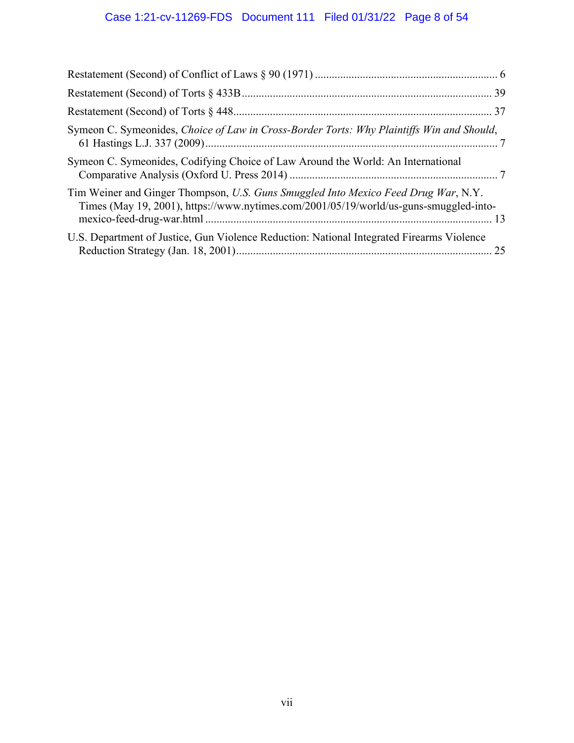# Case 1:21-cv-11269-FDS Document 111 Filed 01/31/22 Page 8 of 54

| Symeon C. Symeonides, Choice of Law in Cross-Border Torts: Why Plaintiffs Win and Should,                                                                                   |  |
|-----------------------------------------------------------------------------------------------------------------------------------------------------------------------------|--|
| Symeon C. Symeonides, Codifying Choice of Law Around the World: An International                                                                                            |  |
| Tim Weiner and Ginger Thompson, U.S. Guns Smuggled Into Mexico Feed Drug War, N.Y.<br>Times (May 19, 2001), https://www.nytimes.com/2001/05/19/world/us-guns-smuggled-into- |  |
| U.S. Department of Justice, Gun Violence Reduction: National Integrated Firearms Violence                                                                                   |  |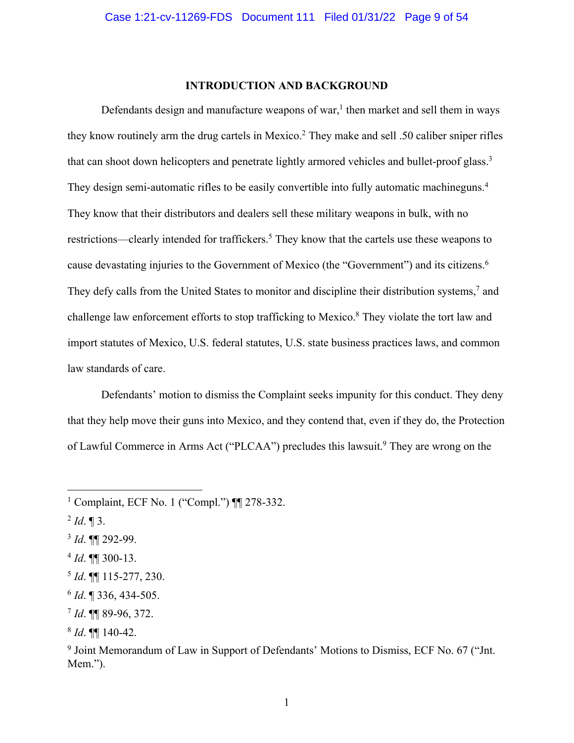#### **INTRODUCTION AND BACKGROUND**

Defendants design and manufacture weapons of war,<sup>1</sup> then market and sell them in ways they know routinely arm the drug cartels in Mexico.2 They make and sell .50 caliber sniper rifles that can shoot down helicopters and penetrate lightly armored vehicles and bullet-proof glass.<sup>3</sup> They design semi-automatic rifles to be easily convertible into fully automatic machineguns.<sup>4</sup> They know that their distributors and dealers sell these military weapons in bulk, with no restrictions—clearly intended for traffickers.<sup>5</sup> They know that the cartels use these weapons to cause devastating injuries to the Government of Mexico (the "Government") and its citizens.<sup>6</sup> They defy calls from the United States to monitor and discipline their distribution systems,<sup>7</sup> and challenge law enforcement efforts to stop trafficking to Mexico.<sup>8</sup> They violate the tort law and import statutes of Mexico, U.S. federal statutes, U.S. state business practices laws, and common law standards of care.

Defendants' motion to dismiss the Complaint seeks impunity for this conduct. They deny that they help move their guns into Mexico, and they contend that, even if they do, the Protection of Lawful Commerce in Arms Act ("PLCAA") precludes this lawsuit.<sup>9</sup> They are wrong on the

- <sup>3</sup> *Id*. ¶¶ 292-99.
- <sup>4</sup> *Id*. ¶¶ 300-13.

<sup>1</sup> Complaint, ECF No. 1 ("Compl.") ¶¶ 278-332.

 $^{2}$  *Id*.  $\P$  3.

<sup>5</sup> *Id*. ¶¶ 115-277, 230.

<sup>6</sup> *Id*. ¶ 336, 434-505.

<sup>7</sup> *Id*. ¶¶ 89-96, 372.

<sup>8</sup> *Id*. ¶¶ 140-42.

<sup>&</sup>lt;sup>9</sup> Joint Memorandum of Law in Support of Defendants' Motions to Dismiss, ECF No. 67 ("Jnt. Mem.").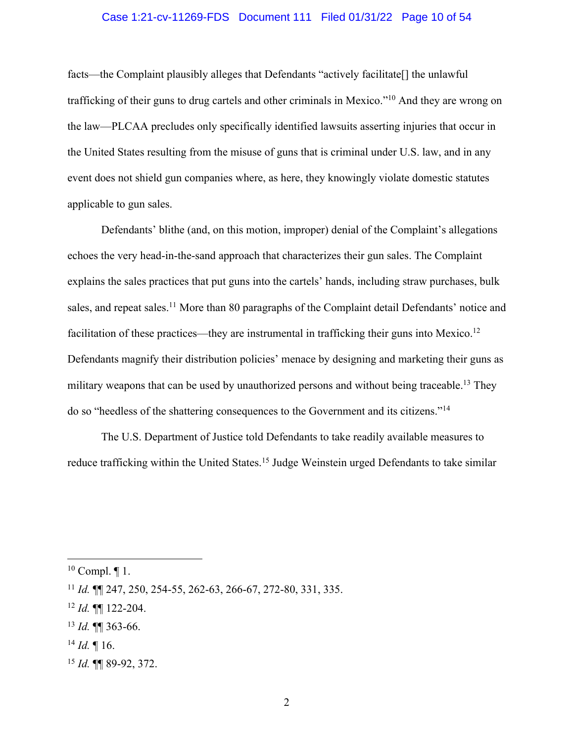#### Case 1:21-cv-11269-FDS Document 111 Filed 01/31/22 Page 10 of 54

facts—the Complaint plausibly alleges that Defendants "actively facilitate[] the unlawful trafficking of their guns to drug cartels and other criminals in Mexico."10 And they are wrong on the law—PLCAA precludes only specifically identified lawsuits asserting injuries that occur in the United States resulting from the misuse of guns that is criminal under U.S. law, and in any event does not shield gun companies where, as here, they knowingly violate domestic statutes applicable to gun sales.

Defendants' blithe (and, on this motion, improper) denial of the Complaint's allegations echoes the very head-in-the-sand approach that characterizes their gun sales. The Complaint explains the sales practices that put guns into the cartels' hands, including straw purchases, bulk sales, and repeat sales.<sup>11</sup> More than 80 paragraphs of the Complaint detail Defendants' notice and facilitation of these practices—they are instrumental in trafficking their guns into Mexico.<sup>12</sup> Defendants magnify their distribution policies' menace by designing and marketing their guns as military weapons that can be used by unauthorized persons and without being traceable.<sup>13</sup> They do so "heedless of the shattering consequences to the Government and its citizens."14

The U.S. Department of Justice told Defendants to take readily available measures to reduce trafficking within the United States.<sup>15</sup> Judge Weinstein urged Defendants to take similar

- <sup>14</sup> *Id.* ¶ 16.
- <sup>15</sup> *Id.* ¶¶ 89-92, 372.

 $10$  Compl.  $\P$  1.

<sup>11</sup> *Id.* ¶¶ 247, 250, 254-55, 262-63, 266-67, 272-80, 331, 335.

<sup>12</sup> *Id.* ¶¶ 122-204.

<sup>13</sup> *Id.* ¶¶ 363-66.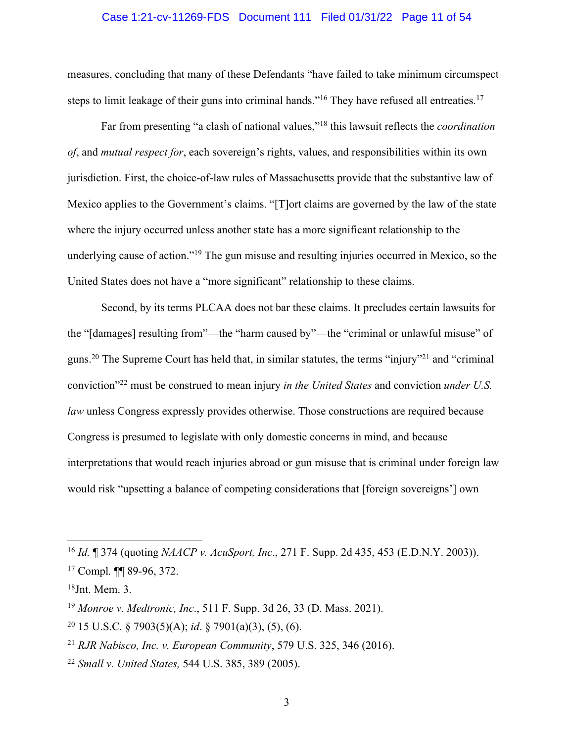#### Case 1:21-cv-11269-FDS Document 111 Filed 01/31/22 Page 11 of 54

measures, concluding that many of these Defendants "have failed to take minimum circumspect steps to limit leakage of their guns into criminal hands."<sup>16</sup> They have refused all entreaties.<sup>17</sup>

Far from presenting "a clash of national values,"18 this lawsuit reflects the *coordination of*, and *mutual respect for*, each sovereign's rights, values, and responsibilities within its own jurisdiction. First, the choice-of-law rules of Massachusetts provide that the substantive law of Mexico applies to the Government's claims. "[T]ort claims are governed by the law of the state where the injury occurred unless another state has a more significant relationship to the underlying cause of action."19 The gun misuse and resulting injuries occurred in Mexico, so the United States does not have a "more significant" relationship to these claims.

Second, by its terms PLCAA does not bar these claims. It precludes certain lawsuits for the "[damages] resulting from"—the "harm caused by"—the "criminal or unlawful misuse" of guns.<sup>20</sup> The Supreme Court has held that, in similar statutes, the terms "injury"<sup>21</sup> and "criminal conviction"22 must be construed to mean injury *in the United States* and conviction *under U.S. law* unless Congress expressly provides otherwise. Those constructions are required because Congress is presumed to legislate with only domestic concerns in mind, and because interpretations that would reach injuries abroad or gun misuse that is criminal under foreign law would risk "upsetting a balance of competing considerations that [foreign sovereigns'] own

<sup>16</sup> *Id.* ¶ 374 (quoting *NAACP v. AcuSport, Inc*., 271 F. Supp. 2d 435, 453 (E.D.N.Y. 2003)).

<sup>17</sup> Compl*.* ¶¶ 89-96, 372.

<sup>18</sup>Jnt. Mem. 3.

<sup>19</sup> *Monroe v. Medtronic, Inc*., 511 F. Supp. 3d 26, 33 (D. Mass. 2021).

<sup>20</sup> 15 U.S.C. § 7903(5)(A); *id*. § 7901(a)(3), (5), (6).

<sup>21</sup> *RJR Nabisco, Inc. v. European Community*, 579 U.S. 325, 346 (2016).

<sup>22</sup> *Small v. United States,* 544 U.S. 385, 389 (2005).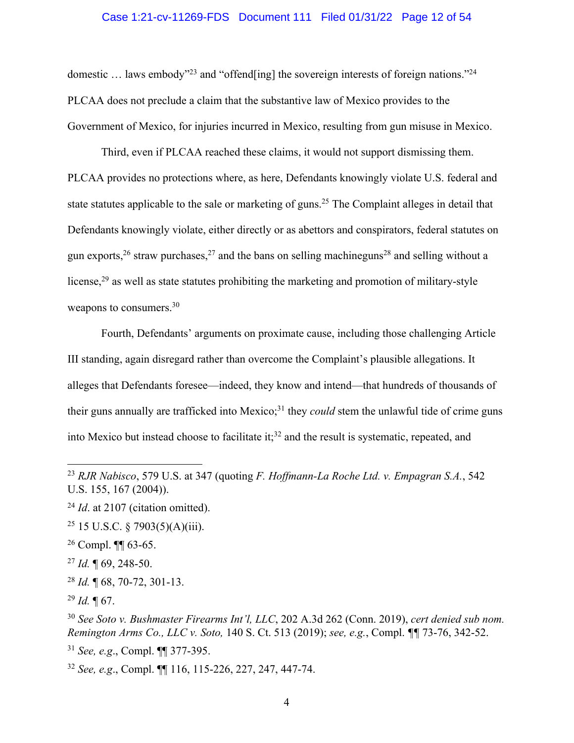#### Case 1:21-cv-11269-FDS Document 111 Filed 01/31/22 Page 12 of 54

domestic ... laws embody"<sup>23</sup> and "offend[ing] the sovereign interests of foreign nations."<sup>24</sup> PLCAA does not preclude a claim that the substantive law of Mexico provides to the Government of Mexico, for injuries incurred in Mexico, resulting from gun misuse in Mexico.

Third, even if PLCAA reached these claims, it would not support dismissing them. PLCAA provides no protections where, as here, Defendants knowingly violate U.S. federal and state statutes applicable to the sale or marketing of guns.<sup>25</sup> The Complaint alleges in detail that Defendants knowingly violate, either directly or as abettors and conspirators, federal statutes on gun exports,  $2^6$  straw purchases,  $2^7$  and the bans on selling machineguns<sup>28</sup> and selling without a license,<sup>29</sup> as well as state statutes prohibiting the marketing and promotion of military-style weapons to consumers.<sup>30</sup>

Fourth, Defendants' arguments on proximate cause, including those challenging Article III standing, again disregard rather than overcome the Complaint's plausible allegations. It alleges that Defendants foresee—indeed, they know and intend—that hundreds of thousands of their guns annually are trafficked into Mexico; <sup>31</sup> they *could* stem the unlawful tide of crime guns into Mexico but instead choose to facilitate it; <sup>32</sup> and the result is systematic, repeated, and

<sup>31</sup> *See, e.g*., Compl. ¶¶ 377-395.

<sup>32</sup> *See, e.g*., Compl. ¶¶ 116, 115-226, 227, 247, 447-74.

<sup>23</sup> *RJR Nabisco*, 579 U.S. at 347 (quoting *F. Hoffmann-La Roche Ltd. v. Empagran S.A.*, 542 U.S. 155, 167 (2004)).

<sup>&</sup>lt;sup>24</sup> *Id.* at 2107 (citation omitted).

<sup>&</sup>lt;sup>25</sup> 15 U.S.C. § 7903(5)(A)(iii).

 $26$  Compl. **[1]** 63-65.

<sup>27</sup> *Id.* ¶ 69, 248-50.

<sup>28</sup> *Id.* ¶ 68, 70-72, 301-13.

<sup>29</sup> *Id.* ¶ 67.

<sup>30</sup> *See Soto v. Bushmaster Firearms Int'l, LLC*, 202 A.3d 262 (Conn. 2019), *cert denied sub nom. Remington Arms Co., LLC v. Soto,* 140 S. Ct. 513 (2019); *see, e.g.*, Compl. *¶¶* 73-76, 342-52.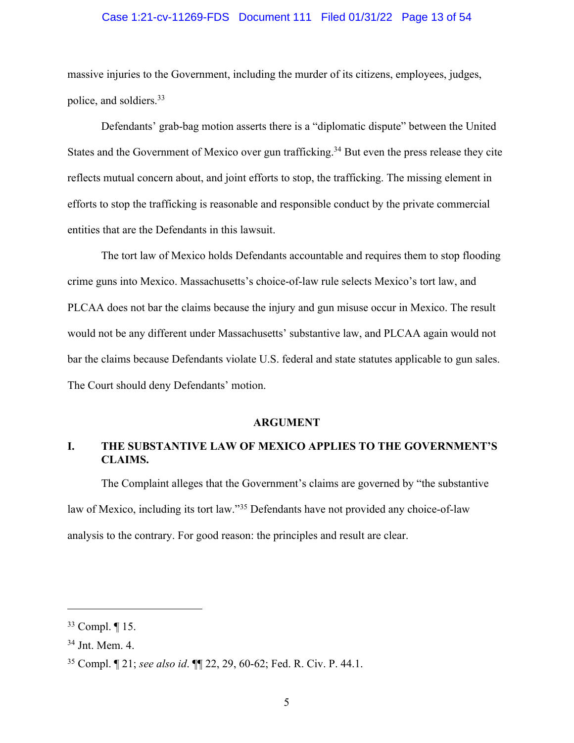#### Case 1:21-cv-11269-FDS Document 111 Filed 01/31/22 Page 13 of 54

massive injuries to the Government, including the murder of its citizens, employees, judges, police, and soldiers. 33

Defendants' grab-bag motion asserts there is a "diplomatic dispute" between the United States and the Government of Mexico over gun trafficking.<sup>34</sup> But even the press release they cite reflects mutual concern about, and joint efforts to stop, the trafficking. The missing element in efforts to stop the trafficking is reasonable and responsible conduct by the private commercial entities that are the Defendants in this lawsuit.

The tort law of Mexico holds Defendants accountable and requires them to stop flooding crime guns into Mexico. Massachusetts's choice-of-law rule selects Mexico's tort law, and PLCAA does not bar the claims because the injury and gun misuse occur in Mexico. The result would not be any different under Massachusetts' substantive law, and PLCAA again would not bar the claims because Defendants violate U.S. federal and state statutes applicable to gun sales. The Court should deny Defendants' motion.

#### **ARGUMENT**

# **I. THE SUBSTANTIVE LAW OF MEXICO APPLIES TO THE GOVERNMENT'S CLAIMS.**

The Complaint alleges that the Government's claims are governed by "the substantive law of Mexico, including its tort law."<sup>35</sup> Defendants have not provided any choice-of-law analysis to the contrary. For good reason: the principles and result are clear.

<sup>33</sup> Compl. ¶ 15.

<sup>34</sup> Jnt. Mem. 4.

<sup>35</sup> Compl. ¶ 21; *see also id*. ¶¶ 22, 29, 60-62; Fed. R. Civ. P. 44.1.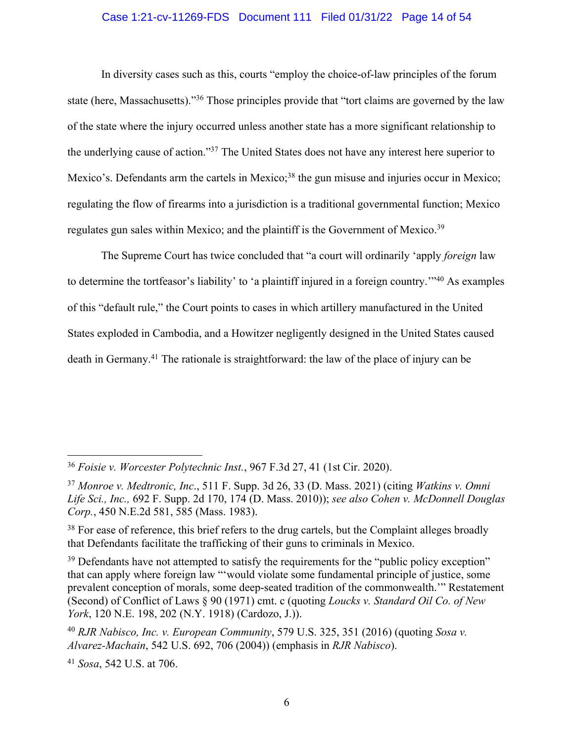## Case 1:21-cv-11269-FDS Document 111 Filed 01/31/22 Page 14 of 54

In diversity cases such as this, courts "employ the choice-of-law principles of the forum state (here, Massachusetts)."36 Those principles provide that "tort claims are governed by the law of the state where the injury occurred unless another state has a more significant relationship to the underlying cause of action."37 The United States does not have any interest here superior to Mexico's. Defendants arm the cartels in Mexico;<sup>38</sup> the gun misuse and injuries occur in Mexico; regulating the flow of firearms into a jurisdiction is a traditional governmental function; Mexico regulates gun sales within Mexico; and the plaintiff is the Government of Mexico.<sup>39</sup>

The Supreme Court has twice concluded that "a court will ordinarily 'apply *foreign* law to determine the tortfeasor's liability' to 'a plaintiff injured in a foreign country.'"40 As examples of this "default rule," the Court points to cases in which artillery manufactured in the United States exploded in Cambodia, and a Howitzer negligently designed in the United States caused death in Germany.41 The rationale is straightforward: the law of the place of injury can be

<sup>36</sup> *Foisie v. Worcester Polytechnic Inst.*, 967 F.3d 27, 41 (1st Cir. 2020).

<sup>37</sup> *Monroe v. Medtronic, Inc*., 511 F. Supp. 3d 26, 33 (D. Mass. 2021) (citing *Watkins v. Omni Life Sci., Inc.,* 692 F. Supp. 2d 170, 174 (D. Mass. 2010)); *see also Cohen v. McDonnell Douglas Corp.*, 450 N.E.2d 581, 585 (Mass. 1983).

<sup>&</sup>lt;sup>38</sup> For ease of reference, this brief refers to the drug cartels, but the Complaint alleges broadly that Defendants facilitate the trafficking of their guns to criminals in Mexico.

<sup>&</sup>lt;sup>39</sup> Defendants have not attempted to satisfy the requirements for the "public policy exception" that can apply where foreign law "'would violate some fundamental principle of justice, some prevalent conception of morals, some deep-seated tradition of the commonwealth.'" Restatement (Second) of Conflict of Laws § 90 (1971) cmt. c (quoting *Loucks v. Standard Oil Co. of New York*, 120 N.E. 198, 202 (N.Y. 1918) (Cardozo, J.)).

<sup>40</sup> *RJR Nabisco, Inc. v. European Community*, 579 U.S. 325, 351 (2016) (quoting *Sosa v. Alvarez-Machain*, 542 U.S. 692, 706 (2004)) (emphasis in *RJR Nabisco*).

<sup>41</sup> *Sosa*, 542 U.S. at 706.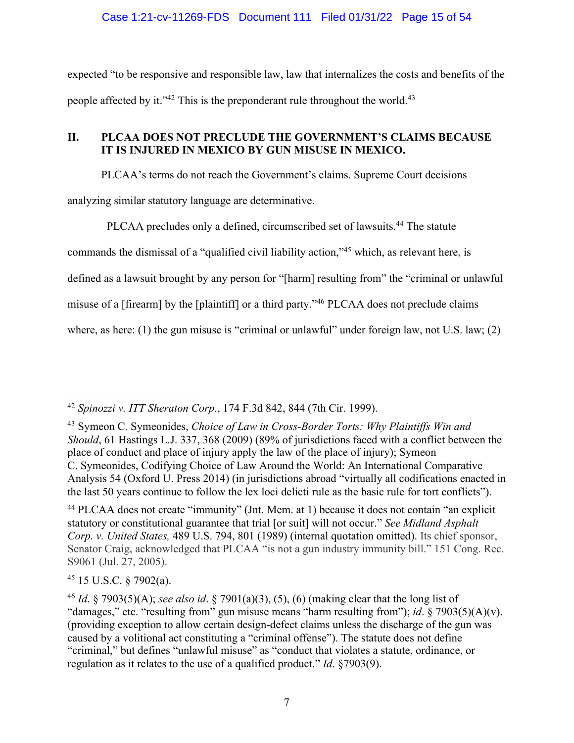expected "to be responsive and responsible law, law that internalizes the costs and benefits of the people affected by it."<sup>42</sup> This is the preponderant rule throughout the world.<sup>43</sup>

## **II. PLCAA DOES NOT PRECLUDE THE GOVERNMENT'S CLAIMS BECAUSE IT IS INJURED IN MEXICO BY GUN MISUSE IN MEXICO.**

PLCAA's terms do not reach the Government's claims. Supreme Court decisions analyzing similar statutory language are determinative.

PLCAA precludes only a defined, circumscribed set of lawsuits. <sup>44</sup> The statute

commands the dismissal of a "qualified civil liability action,"45 which, as relevant here, is

defined as a lawsuit brought by any person for "[harm] resulting from" the "criminal or unlawful

misuse of a [firearm] by the [plaintiff] or a third party."46 PLCAA does not preclude claims

where, as here: (1) the gun misuse is "criminal or unlawful" under foreign law, not U.S. law; (2)

<sup>45</sup> 15 U.S.C. § 7902(a).

<sup>42</sup> *Spinozzi v. ITT Sheraton Corp.*, 174 F.3d 842, 844 (7th Cir. 1999).

<sup>43</sup> Symeon C. Symeonides, *Choice of Law in Cross-Border Torts: Why Plaintiffs Win and Should*, 61 Hastings L.J. 337, 368 (2009) (89% of jurisdictions faced with a conflict between the place of conduct and place of injury apply the law of the place of injury); Symeon C. Symeonides, Codifying Choice of Law Around the World: An International Comparative Analysis 54 (Oxford U. Press 2014) (in jurisdictions abroad "virtually all codifications enacted in the last 50 years continue to follow the lex loci delicti rule as the basic rule for tort conflicts").

<sup>44</sup> PLCAA does not create "immunity" (Jnt. Mem. at 1) because it does not contain "an explicit statutory or constitutional guarantee that trial [or suit] will not occur." *See Midland Asphalt Corp. v. United States,* 489 U.S. 794, 801 (1989) (internal quotation omitted). Its chief sponsor, Senator Craig, acknowledged that PLCAA "is not a gun industry immunity bill." 151 Cong. Rec. S9061 (Jul. 27, 2005).

<sup>46</sup> *Id*. § 7903(5)(A); *see also id*. § 7901(a)(3), (5), (6) (making clear that the long list of "damages," etc. "resulting from" gun misuse means "harm resulting from"); *id*. § 7903(5)(A)(v). (providing exception to allow certain design-defect claims unless the discharge of the gun was caused by a volitional act constituting a "criminal offense"). The statute does not define "criminal," but defines "unlawful misuse" as "conduct that violates a statute, ordinance, or regulation as it relates to the use of a qualified product." *Id*. §7903(9).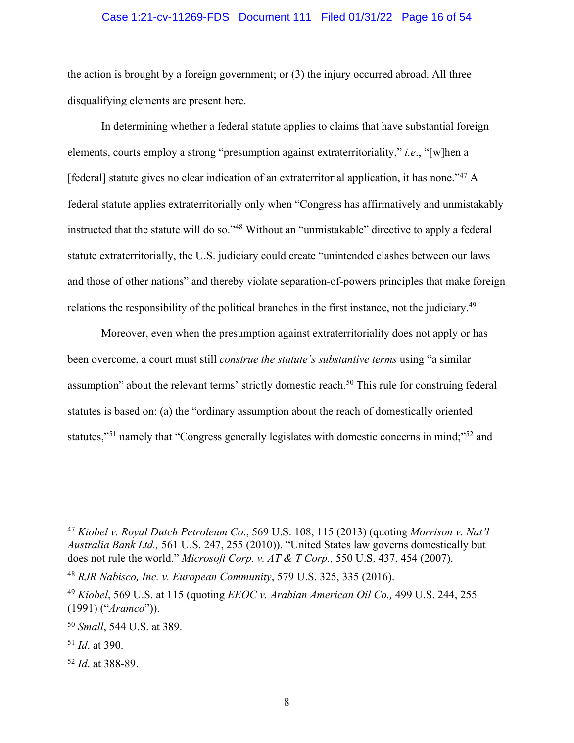#### Case 1:21-cv-11269-FDS Document 111 Filed 01/31/22 Page 16 of 54

the action is brought by a foreign government; or (3) the injury occurred abroad. All three disqualifying elements are present here.

In determining whether a federal statute applies to claims that have substantial foreign elements, courts employ a strong "presumption against extraterritoriality," *i.e*., "[w]hen a [federal] statute gives no clear indication of an extraterritorial application, it has none."47 A federal statute applies extraterritorially only when "Congress has affirmatively and unmistakably instructed that the statute will do so."48 Without an "unmistakable" directive to apply a federal statute extraterritorially, the U.S. judiciary could create "unintended clashes between our laws and those of other nations" and thereby violate separation-of-powers principles that make foreign relations the responsibility of the political branches in the first instance, not the judiciary.<sup>49</sup>

Moreover, even when the presumption against extraterritoriality does not apply or has been overcome, a court must still *construe the statute's substantive terms* using "a similar assumption" about the relevant terms' strictly domestic reach.<sup>50</sup> This rule for construing federal statutes is based on: (a) the "ordinary assumption about the reach of domestically oriented statutes,"51 namely that "Congress generally legislates with domestic concerns in mind;"52 and

<sup>52</sup> *Id*. at 388-89.

<sup>47</sup> *Kiobel v. Royal Dutch Petroleum Co*., 569 U.S. 108, 115 (2013) (quoting *Morrison v. Nat'l Australia Bank Ltd.,* 561 U.S. 247, 255 (2010)). "United States law governs domestically but does not rule the world." *Microsoft Corp. v. AT & T Corp.,* 550 U.S. 437, 454 (2007).

<sup>48</sup> *RJR Nabisco, Inc. v. European Community*, 579 U.S. 325, 335 (2016).

<sup>49</sup> *Kiobel*, 569 U.S. at 115 (quoting *EEOC v. Arabian American Oil Co.,* 499 U.S. 244, 255 (1991) ("*Aramco*")).

<sup>50</sup> *Small*, 544 U.S. at 389.

<sup>51</sup> *Id*. at 390.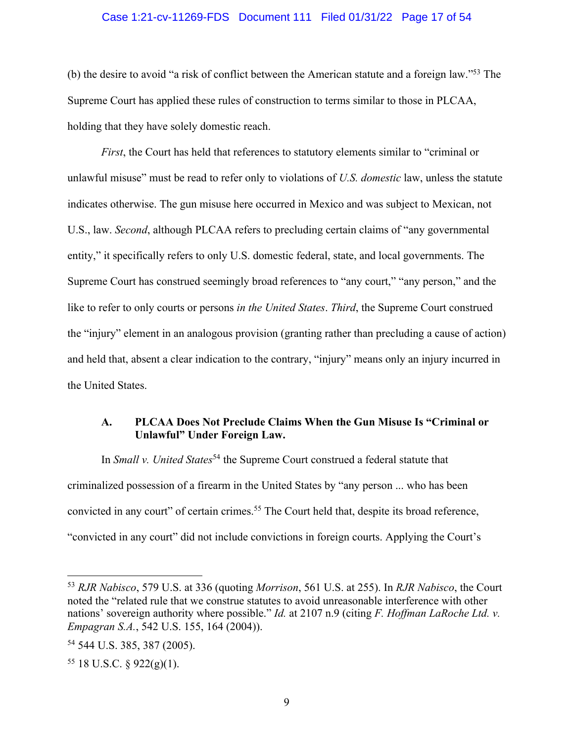#### Case 1:21-cv-11269-FDS Document 111 Filed 01/31/22 Page 17 of 54

(b) the desire to avoid "a risk of conflict between the American statute and a foreign law."53 The Supreme Court has applied these rules of construction to terms similar to those in PLCAA, holding that they have solely domestic reach.

*First*, the Court has held that references to statutory elements similar to "criminal or unlawful misuse" must be read to refer only to violations of *U.S. domestic* law, unless the statute indicates otherwise. The gun misuse here occurred in Mexico and was subject to Mexican, not U.S., law. *Second*, although PLCAA refers to precluding certain claims of "any governmental entity," it specifically refers to only U.S. domestic federal, state, and local governments. The Supreme Court has construed seemingly broad references to "any court," "any person," and the like to refer to only courts or persons *in the United States*. *Third*, the Supreme Court construed the "injury" element in an analogous provision (granting rather than precluding a cause of action) and held that, absent a clear indication to the contrary, "injury" means only an injury incurred in the United States.

## **A. PLCAA Does Not Preclude Claims When the Gun Misuse Is "Criminal or Unlawful" Under Foreign Law.**

 In *Small v. United States*<sup>54</sup> the Supreme Court construed a federal statute that criminalized possession of a firearm in the United States by "any person ... who has been convicted in any court" of certain crimes.<sup>55</sup> The Court held that, despite its broad reference, "convicted in any court" did not include convictions in foreign courts. Applying the Court's

<sup>53</sup> *RJR Nabisco*, 579 U.S. at 336 (quoting *Morrison*, 561 U.S. at 255). In *RJR Nabisco*, the Court noted the "related rule that we construe statutes to avoid unreasonable interference with other nations' sovereign authority where possible." *Id.* at 2107 n.9 (citing *F. Hoffman LaRoche Ltd. v. Empagran S.A.*, 542 U.S. 155, 164 (2004)).

<sup>54</sup> 544 U.S. 385, 387 (2005).

 $55$  18 U.S.C. § 922(g)(1).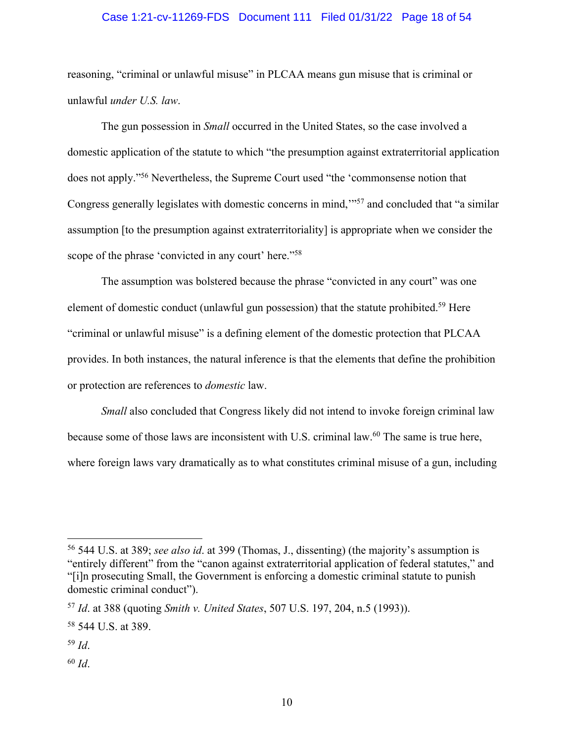#### Case 1:21-cv-11269-FDS Document 111 Filed 01/31/22 Page 18 of 54

reasoning, "criminal or unlawful misuse" in PLCAA means gun misuse that is criminal or unlawful *under U.S. law*.

The gun possession in *Small* occurred in the United States, so the case involved a domestic application of the statute to which "the presumption against extraterritorial application does not apply."56 Nevertheless, the Supreme Court used "the 'commonsense notion that Congress generally legislates with domestic concerns in mind,'"57 and concluded that "a similar assumption [to the presumption against extraterritoriality] is appropriate when we consider the scope of the phrase 'convicted in any court' here."<sup>58</sup>

The assumption was bolstered because the phrase "convicted in any court" was one element of domestic conduct (unlawful gun possession) that the statute prohibited.59 Here "criminal or unlawful misuse" is a defining element of the domestic protection that PLCAA provides. In both instances, the natural inference is that the elements that define the prohibition or protection are references to *domestic* law.

*Small* also concluded that Congress likely did not intend to invoke foreign criminal law because some of those laws are inconsistent with U.S. criminal law.60 The same is true here, where foreign laws vary dramatically as to what constitutes criminal misuse of a gun, including

<sup>60</sup> *Id*.

<sup>56</sup> 544 U.S. at 389; *see also id*. at 399 (Thomas, J., dissenting) (the majority's assumption is "entirely different" from the "canon against extraterritorial application of federal statutes," and "[i]n prosecuting Small, the Government is enforcing a domestic criminal statute to punish domestic criminal conduct").

<sup>57</sup> *Id*. at 388 (quoting *Smith v. United States*, 507 U.S. 197, 204, n.5 (1993)).

<sup>58</sup> 544 U.S. at 389.

<sup>59</sup> *Id*.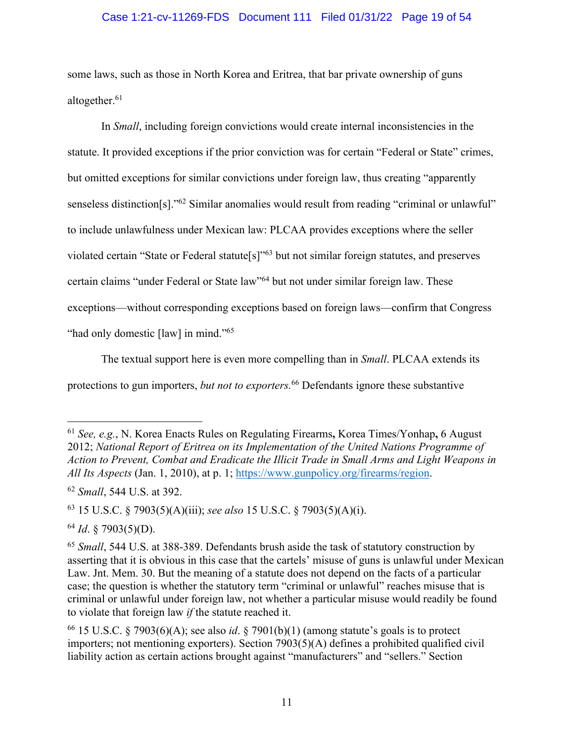#### Case 1:21-cv-11269-FDS Document 111 Filed 01/31/22 Page 19 of 54

some laws, such as those in North Korea and Eritrea, that bar private ownership of guns altogether.<sup>61</sup>

In *Small*, including foreign convictions would create internal inconsistencies in the statute. It provided exceptions if the prior conviction was for certain "Federal or State" crimes, but omitted exceptions for similar convictions under foreign law, thus creating "apparently senseless distinction[s]."62 Similar anomalies would result from reading "criminal or unlawful" to include unlawfulness under Mexican law: PLCAA provides exceptions where the seller violated certain "State or Federal statute[s]"63 but not similar foreign statutes, and preserves certain claims "under Federal or State law"64 but not under similar foreign law. These exceptions—without corresponding exceptions based on foreign laws—confirm that Congress "had only domestic [law] in mind."<sup>65</sup>

The textual support here is even more compelling than in *Small*. PLCAA extends its protections to gun importers, *but not to exporters.*<sup>66</sup> Defendants ignore these substantive

<sup>61</sup> *See, e.g.*, N. Korea Enacts Rules on Regulating Firearms**,** Korea Times/Yonhap**,** 6 August 2012; *National Report of Eritrea on its Implementation of the United Nations Programme of Action to Prevent, Combat and Eradicate the Illicit Trade in Small Arms and Light Weapons in All Its Aspects* (Jan. 1, 2010), at p. 1; https://www.gunpolicy.org/firearms/region.

<sup>62</sup> *Small*, 544 U.S. at 392.

<sup>63</sup> 15 U.S.C. § 7903(5)(A)(iii); *see also* 15 U.S.C. § 7903(5)(A)(i).

<sup>64</sup> *Id*. § 7903(5)(D).

<sup>65</sup> *Small*, 544 U.S. at 388-389. Defendants brush aside the task of statutory construction by asserting that it is obvious in this case that the cartels' misuse of guns is unlawful under Mexican Law. Jnt. Mem. 30. But the meaning of a statute does not depend on the facts of a particular case; the question is whether the statutory term "criminal or unlawful" reaches misuse that is criminal or unlawful under foreign law, not whether a particular misuse would readily be found to violate that foreign law *if* the statute reached it.

<sup>66</sup> 15 U.S.C. § 7903(6)(A); see also *id*. § 7901(b)(1) (among statute's goals is to protect importers; not mentioning exporters). Section 7903(5)(A) defines a prohibited qualified civil liability action as certain actions brought against "manufacturers" and "sellers." Section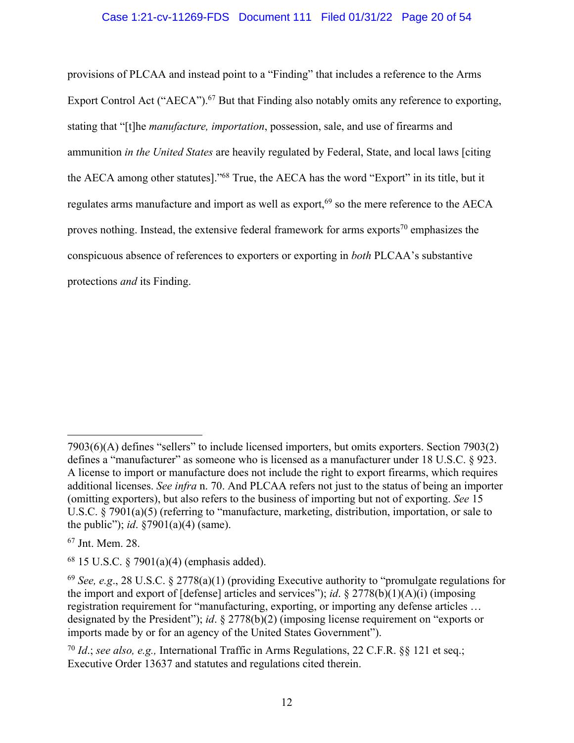## Case 1:21-cv-11269-FDS Document 111 Filed 01/31/22 Page 20 of 54

provisions of PLCAA and instead point to a "Finding" that includes a reference to the Arms Export Control Act ("AECA").<sup>67</sup> But that Finding also notably omits any reference to exporting, stating that "[t]he *manufacture, importation*, possession, sale, and use of firearms and ammunition *in the United States* are heavily regulated by Federal, State, and local laws [citing the AECA among other statutes]."68 True, the AECA has the word "Export" in its title, but it regulates arms manufacture and import as well as export,<sup>69</sup> so the mere reference to the AECA proves nothing. Instead, the extensive federal framework for arms exports<sup>70</sup> emphasizes the conspicuous absence of references to exporters or exporting in *both* PLCAA's substantive protections *and* its Finding.

<sup>7903(6)(</sup>A) defines "sellers" to include licensed importers, but omits exporters. Section 7903(2) defines a "manufacturer" as someone who is licensed as a manufacturer under 18 U.S.C. § 923. A license to import or manufacture does not include the right to export firearms, which requires additional licenses. *See infra* n. 70. And PLCAA refers not just to the status of being an importer (omitting exporters), but also refers to the business of importing but not of exporting. *See* 15 U.S.C. § 7901(a)(5) (referring to "manufacture, marketing, distribution, importation, or sale to the public"); *id*. §7901(a)(4) (same).

<sup>67</sup> Jnt. Mem. 28.

 $68$  15 U.S.C. § 7901(a)(4) (emphasis added).

<sup>69</sup> *See, e.g*., 28 U.S.C. § 2778(a)(1) (providing Executive authority to "promulgate regulations for the import and export of [defense] articles and services"); *id*. § 2778(b)(1)(A)(i) (imposing registration requirement for "manufacturing, exporting, or importing any defense articles … designated by the President"); *id*. § 2778(b)(2) (imposing license requirement on "exports or imports made by or for an agency of the United States Government").

<sup>70</sup> *Id*.; *see also, e.g.,* International Traffic in Arms Regulations, 22 C.F.R. §§ 121 et seq.; Executive Order 13637 and statutes and regulations cited therein.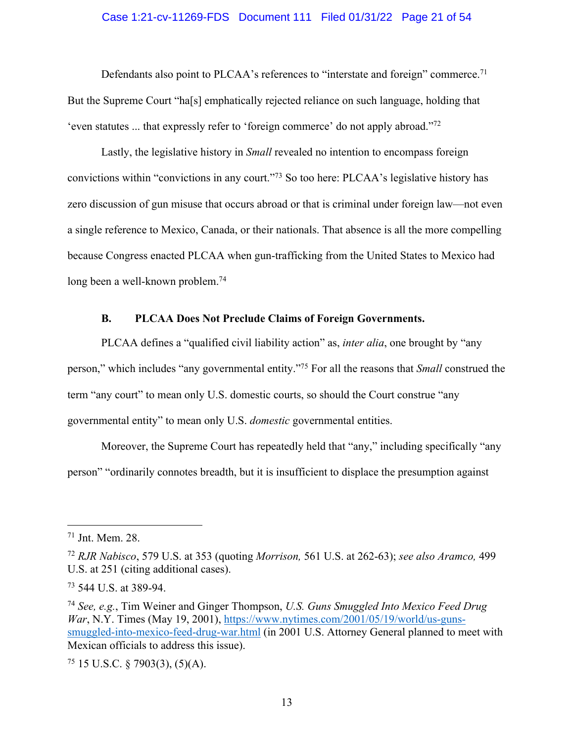#### Case 1:21-cv-11269-FDS Document 111 Filed 01/31/22 Page 21 of 54

Defendants also point to PLCAA's references to "interstate and foreign" commerce.<sup>71</sup> But the Supreme Court "ha[s] emphatically rejected reliance on such language, holding that 'even statutes ... that expressly refer to 'foreign commerce' do not apply abroad."72

Lastly, the legislative history in *Small* revealed no intention to encompass foreign convictions within "convictions in any court."73 So too here: PLCAA's legislative history has zero discussion of gun misuse that occurs abroad or that is criminal under foreign law—not even a single reference to Mexico, Canada, or their nationals. That absence is all the more compelling because Congress enacted PLCAA when gun-trafficking from the United States to Mexico had long been a well-known problem.<sup>74</sup>

#### **B. PLCAA Does Not Preclude Claims of Foreign Governments.**

PLCAA defines a "qualified civil liability action" as, *inter alia*, one brought by "any person," which includes "any governmental entity."75 For all the reasons that *Small* construed the term "any court" to mean only U.S. domestic courts, so should the Court construe "any governmental entity" to mean only U.S. *domestic* governmental entities.

Moreover, the Supreme Court has repeatedly held that "any," including specifically "any person" "ordinarily connotes breadth, but it is insufficient to displace the presumption against

 $75$  15 U.S.C. § 7903(3), (5)(A).

<sup>71</sup> Jnt. Mem. 28.

<sup>72</sup> *RJR Nabisco*, 579 U.S. at 353 (quoting *Morrison,* 561 U.S. at 262-63); *see also Aramco,* 499 U.S. at 251 (citing additional cases).

<sup>73</sup> 544 U.S. at 389-94.

<sup>74</sup> *See, e.g.*, Tim Weiner and Ginger Thompson, *U.S. Guns Smuggled Into Mexico Feed Drug War*, N.Y. Times (May 19, 2001), https://www.nytimes.com/2001/05/19/world/us-gunssmuggled-into-mexico-feed-drug-war.html (in 2001 U.S. Attorney General planned to meet with Mexican officials to address this issue).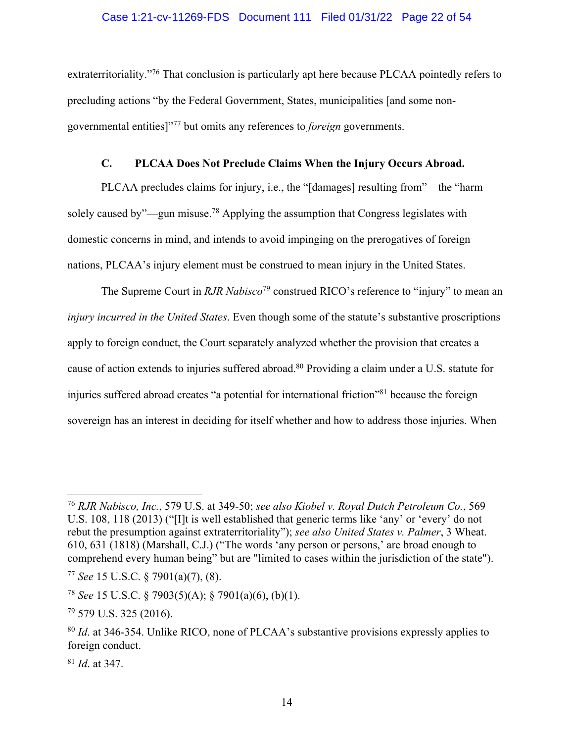#### Case 1:21-cv-11269-FDS Document 111 Filed 01/31/22 Page 22 of 54

extraterritoriality."<sup>76</sup> That conclusion is particularly apt here because PLCAA pointedly refers to precluding actions "by the Federal Government, States, municipalities [and some nongovernmental entities]"77 but omits any references to *foreign* governments.

#### **C. PLCAA Does Not Preclude Claims When the Injury Occurs Abroad.**

PLCAA precludes claims for injury, i.e., the "[damages] resulting from"—the "harm solely caused by"—gun misuse.<sup>78</sup> Applying the assumption that Congress legislates with domestic concerns in mind, and intends to avoid impinging on the prerogatives of foreign nations, PLCAA's injury element must be construed to mean injury in the United States.

The Supreme Court in *RJR Nabisco*<sup>79</sup> construed RICO's reference to "injury" to mean an *injury incurred in the United States*. Even though some of the statute's substantive proscriptions apply to foreign conduct, the Court separately analyzed whether the provision that creates a cause of action extends to injuries suffered abroad.80 Providing a claim under a U.S. statute for injuries suffered abroad creates "a potential for international friction"81 because the foreign sovereign has an interest in deciding for itself whether and how to address those injuries. When

<sup>81</sup> *Id*. at 347.

<sup>76</sup> *RJR Nabisco, Inc.*, 579 U.S. at 349-50; *see also Kiobel v. Royal Dutch Petroleum Co.*, 569 U.S. 108, 118 (2013) ("[I]t is well established that generic terms like 'any' or 'every' do not rebut the presumption against extraterritoriality"); *see also United States v. Palmer*, 3 Wheat. 610, 631 (1818) (Marshall, C.J.) ("The words 'any person or persons,' are broad enough to comprehend every human being" but are "limited to cases within the jurisdiction of the state").

<sup>77</sup> *See* 15 U.S.C. § 7901(a)(7), (8).

<sup>78</sup> *See* 15 U.S.C. § 7903(5)(A); § 7901(a)(6), (b)(1).

<sup>79</sup> 579 U.S. 325 (2016).

<sup>80</sup> *Id*. at 346-354. Unlike RICO, none of PLCAA's substantive provisions expressly applies to foreign conduct.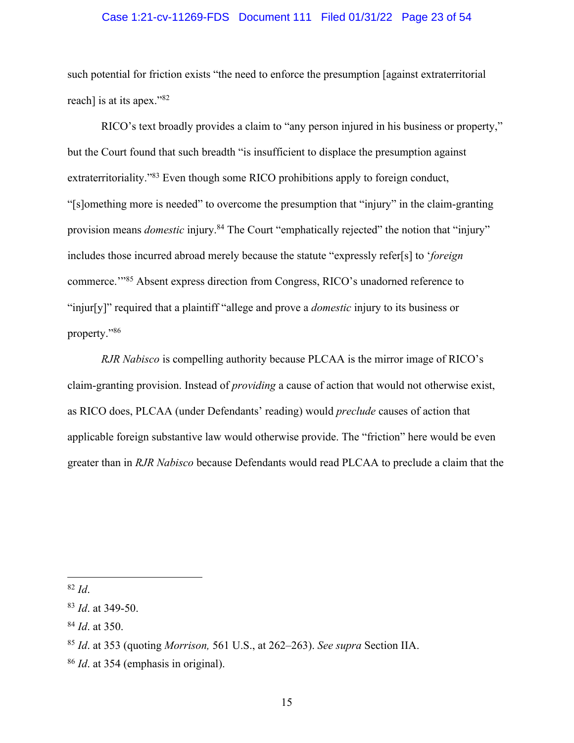#### Case 1:21-cv-11269-FDS Document 111 Filed 01/31/22 Page 23 of 54

such potential for friction exists "the need to enforce the presumption [against extraterritorial reach] is at its apex."<sup>82</sup>

RICO's text broadly provides a claim to "any person injured in his business or property," but the Court found that such breadth "is insufficient to displace the presumption against extraterritoriality."83 Even though some RICO prohibitions apply to foreign conduct, "[s]omething more is needed" to overcome the presumption that "injury" in the claim-granting provision means *domestic* injury.<sup>84</sup> The Court "emphatically rejected" the notion that "injury" includes those incurred abroad merely because the statute "expressly refer[s] to '*foreign*  commerce.'"85 Absent express direction from Congress, RICO's unadorned reference to "injur[y]" required that a plaintiff "allege and prove a *domestic* injury to its business or property."86

*RJR Nabisco* is compelling authority because PLCAA is the mirror image of RICO's claim-granting provision. Instead of *providing* a cause of action that would not otherwise exist, as RICO does, PLCAA (under Defendants' reading) would *preclude* causes of action that applicable foreign substantive law would otherwise provide. The "friction" here would be even greater than in *RJR Nabisco* because Defendants would read PLCAA to preclude a claim that the

<sup>82</sup> *Id*.

<sup>83</sup> *Id*. at 349-50.

<sup>84</sup> *Id*. at 350.

<sup>85</sup> *Id*. at 353 (quoting *Morrison,* 561 U.S., at 262–263). *See supra* Section IIA.

<sup>86</sup> *Id*. at 354 (emphasis in original).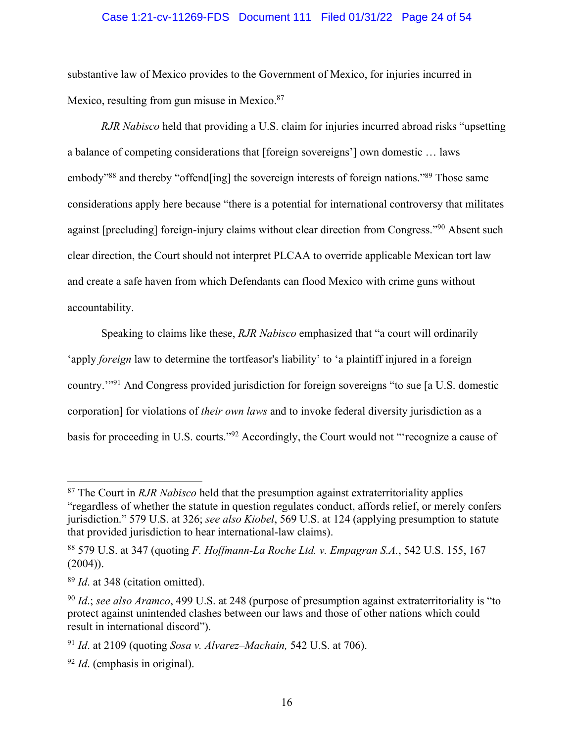#### Case 1:21-cv-11269-FDS Document 111 Filed 01/31/22 Page 24 of 54

substantive law of Mexico provides to the Government of Mexico, for injuries incurred in Mexico, resulting from gun misuse in Mexico.<sup>87</sup>

*RJR Nabisco* held that providing a U.S. claim for injuries incurred abroad risks "upsetting a balance of competing considerations that [foreign sovereigns'] own domestic … laws embody"88 and thereby "offend[ing] the sovereign interests of foreign nations."89 Those same considerations apply here because "there is a potential for international controversy that militates against [precluding] foreign-injury claims without clear direction from Congress."90 Absent such clear direction, the Court should not interpret PLCAA to override applicable Mexican tort law and create a safe haven from which Defendants can flood Mexico with crime guns without accountability.

Speaking to claims like these, *RJR Nabisco* emphasized that "a court will ordinarily 'apply *foreign* law to determine the tortfeasor's liability' to 'a plaintiff injured in a foreign country.'"91 And Congress provided jurisdiction for foreign sovereigns "to sue [a U.S. domestic corporation] for violations of *their own laws* and to invoke federal diversity jurisdiction as a basis for proceeding in U.S. courts."92 Accordingly, the Court would not "'recognize a cause of

<sup>87</sup> The Court in *RJR Nabisco* held that the presumption against extraterritoriality applies "regardless of whether the statute in question regulates conduct, affords relief, or merely confers jurisdiction." 579 U.S. at 326; *see also Kiobel*, 569 U.S. at 124 (applying presumption to statute that provided jurisdiction to hear international-law claims).

<sup>88</sup> 579 U.S. at 347 (quoting *F. Hoffmann-La Roche Ltd. v. Empagran S.A.*, 542 U.S. 155, 167  $(2004)$ ).

<sup>89</sup> *Id*. at 348 (citation omitted).

<sup>90</sup> *Id*.; *see also Aramco*, 499 U.S. at 248 (purpose of presumption against extraterritoriality is "to protect against unintended clashes between our laws and those of other nations which could result in international discord").

<sup>91</sup> *Id*. at 2109 (quoting *Sosa v. Alvarez–Machain,* 542 U.S. at 706).

<sup>92</sup> *Id*. (emphasis in original).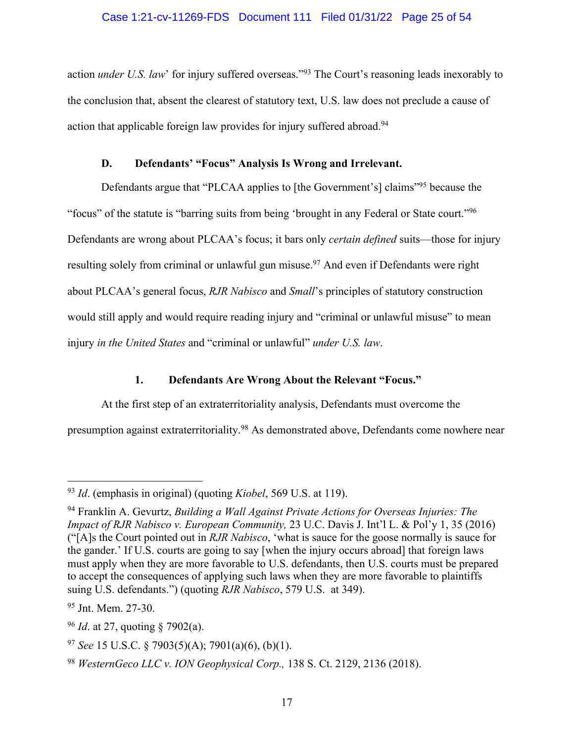### Case 1:21-cv-11269-FDS Document 111 Filed 01/31/22 Page 25 of 54

action *under U.S. law*' for injury suffered overseas."<sup>93</sup> The Court's reasoning leads inexorably to the conclusion that, absent the clearest of statutory text, U.S. law does not preclude a cause of action that applicable foreign law provides for injury suffered abroad.<sup>94</sup>

## **D. Defendants' "Focus" Analysis Is Wrong and Irrelevant.**

Defendants argue that "PLCAA applies to [the Government's] claims"95 because the "focus" of the statute is "barring suits from being 'brought in any Federal or State court."96 Defendants are wrong about PLCAA's focus; it bars only *certain defined* suits—those for injury resulting solely from criminal or unlawful gun misuse.<sup>97</sup> And even if Defendants were right about PLCAA's general focus, *RJR Nabisco* and *Small*'s principles of statutory construction would still apply and would require reading injury and "criminal or unlawful misuse" to mean injury *in the United States* and "criminal or unlawful" *under U.S. law*.

## **1. Defendants Are Wrong About the Relevant "Focus."**

At the first step of an extraterritoriality analysis, Defendants must overcome the presumption against extraterritoriality.98 As demonstrated above, Defendants come nowhere near

<sup>93</sup> *Id*. (emphasis in original) (quoting *Kiobel*, 569 U.S. at 119).

<sup>94</sup> Franklin A. Gevurtz, *Building a Wall Against Private Actions for Overseas Injuries: The Impact of RJR Nabisco v. European Community,* 23 U.C. Davis J. Int'l L. & Pol'y 1, 35 (2016) ("[A]s the Court pointed out in *RJR Nabisco*, 'what is sauce for the goose normally is sauce for the gander.' If U.S. courts are going to say [when the injury occurs abroad] that foreign laws must apply when they are more favorable to U.S. defendants, then U.S. courts must be prepared to accept the consequences of applying such laws when they are more favorable to plaintiffs suing U.S. defendants.") (quoting *RJR Nabisco*, 579 U.S. at 349).

<sup>95</sup> Jnt. Mem. 27-30.

<sup>96</sup> *Id*. at 27, quoting § 7902(a).

<sup>97</sup> *See* 15 U.S.C. § 7903(5)(A); 7901(a)(6), (b)(1).

<sup>98</sup> *WesternGeco LLC v. ION Geophysical Corp.,* 138 S. Ct. 2129, 2136 (2018).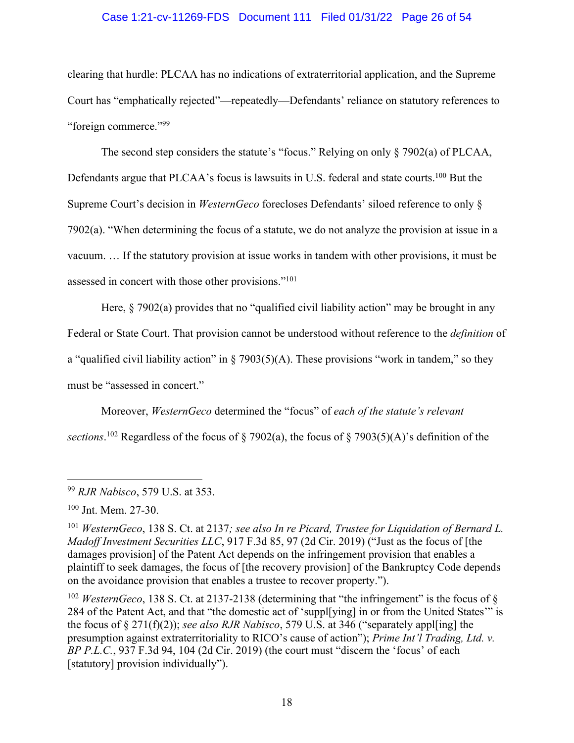#### Case 1:21-cv-11269-FDS Document 111 Filed 01/31/22 Page 26 of 54

clearing that hurdle: PLCAA has no indications of extraterritorial application, and the Supreme Court has "emphatically rejected"—repeatedly—Defendants' reliance on statutory references to "foreign commerce."99

The second step considers the statute's "focus." Relying on only § 7902(a) of PLCAA, Defendants argue that PLCAA's focus is lawsuits in U.S. federal and state courts.<sup>100</sup> But the Supreme Court's decision in *WesternGeco* forecloses Defendants' siloed reference to only § 7902(a). "When determining the focus of a statute, we do not analyze the provision at issue in a vacuum. … If the statutory provision at issue works in tandem with other provisions, it must be assessed in concert with those other provisions."101

Here, § 7902(a) provides that no "qualified civil liability action" may be brought in any Federal or State Court. That provision cannot be understood without reference to the *definition* of a "qualified civil liability action" in  $\S$  7903(5)(A). These provisions "work in tandem," so they must be "assessed in concert."

Moreover, *WesternGeco* determined the "focus" of *each of the statute's relevant sections*. <sup>102</sup> Regardless of the focus of § 7902(a), the focus of § 7903(5)(A)'s definition of the

<sup>102</sup> *WesternGeco*, 138 S. Ct. at 2137-2138 (determining that "the infringement" is the focus of  $\S$ 284 of the Patent Act, and that "the domestic act of 'suppl[ying] in or from the United States'" is the focus of § 271(f)(2)); *see also RJR Nabisco*, 579 U.S. at 346 ("separately appl[ing] the presumption against extraterritoriality to RICO's cause of action"); *Prime Int'l Trading, Ltd. v. BP P.L.C.*, 937 F.3d 94, 104 (2d Cir. 2019) (the court must "discern the 'focus' of each [statutory] provision individually").

<sup>99</sup> *RJR Nabisco*, 579 U.S. at 353.

<sup>100</sup> Jnt. Mem. 27-30.

<sup>101</sup> *WesternGeco*, 138 S. Ct. at 2137*; see also In re Picard, Trustee for Liquidation of Bernard L. Madoff Investment Securities LLC*, 917 F.3d 85, 97 (2d Cir. 2019) ("Just as the focus of [the damages provision] of the Patent Act depends on the infringement provision that enables a plaintiff to seek damages, the focus of [the recovery provision] of the Bankruptcy Code depends on the avoidance provision that enables a trustee to recover property.").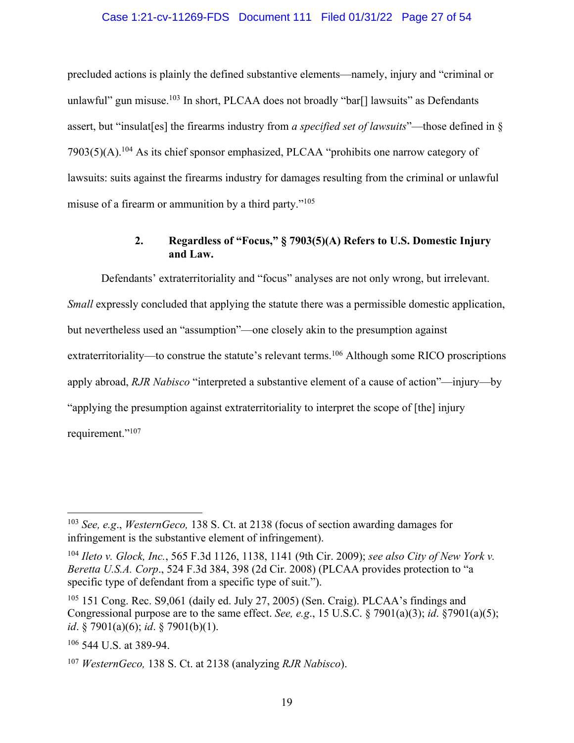#### Case 1:21-cv-11269-FDS Document 111 Filed 01/31/22 Page 27 of 54

precluded actions is plainly the defined substantive elements—namely, injury and "criminal or unlawful" gun misuse.<sup>103</sup> In short, PLCAA does not broadly "bar[] lawsuits" as Defendants assert, but "insulat[es] the firearms industry from *a specified set of lawsuits*"—those defined in §  $7903(5)(A)$ .<sup>104</sup> As its chief sponsor emphasized, PLCAA "prohibits one narrow category of lawsuits: suits against the firearms industry for damages resulting from the criminal or unlawful misuse of a firearm or ammunition by a third party."105

## **2. Regardless of "Focus," § 7903(5)(A) Refers to U.S. Domestic Injury and Law.**

Defendants' extraterritoriality and "focus" analyses are not only wrong, but irrelevant. *Small* expressly concluded that applying the statute there was a permissible domestic application, but nevertheless used an "assumption"—one closely akin to the presumption against extraterritoriality—to construe the statute's relevant terms.<sup>106</sup> Although some RICO proscriptions apply abroad, *RJR Nabisco* "interpreted a substantive element of a cause of action"—injury—by "applying the presumption against extraterritoriality to interpret the scope of [the] injury requirement."<sup>107</sup>

<sup>103</sup> *See, e.g*., *WesternGeco,* 138 S. Ct. at 2138 (focus of section awarding damages for infringement is the substantive element of infringement).

<sup>104</sup> *Ileto v. Glock, Inc.*, 565 F.3d 1126, 1138, 1141 (9th Cir. 2009); *see also City of New York v. Beretta U.S.A. Corp*., 524 F.3d 384, 398 (2d Cir. 2008) (PLCAA provides protection to "a specific type of defendant from a specific type of suit.").

<sup>105</sup> 151 Cong. Rec. S9,061 (daily ed. July 27, 2005) (Sen. Craig). PLCAA's findings and Congressional purpose are to the same effect. *See, e.g*., 15 U.S.C. § 7901(a)(3); *id*. §7901(a)(5); *id*. § 7901(a)(6); *id*. § 7901(b)(1).

<sup>106</sup> 544 U.S. at 389-94.

<sup>107</sup> *WesternGeco,* 138 S. Ct. at 2138 (analyzing *RJR Nabisco*).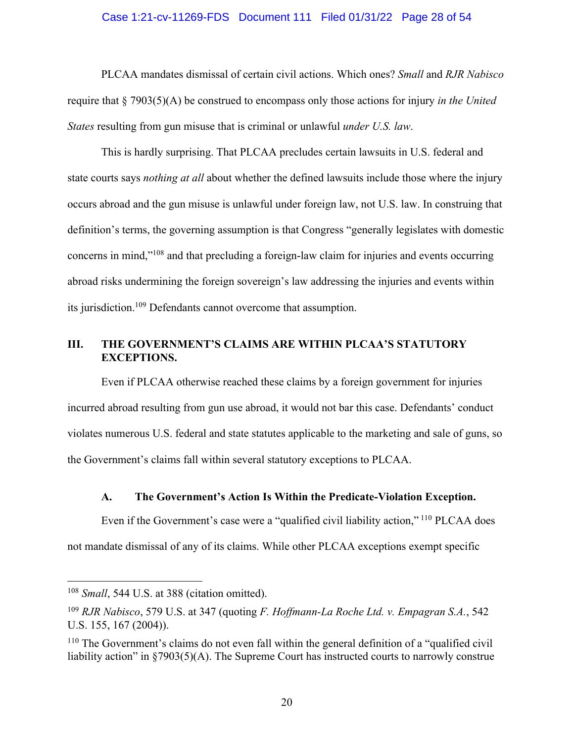#### Case 1:21-cv-11269-FDS Document 111 Filed 01/31/22 Page 28 of 54

PLCAA mandates dismissal of certain civil actions. Which ones? *Small* and *RJR Nabisco* require that § 7903(5)(A) be construed to encompass only those actions for injury *in the United States* resulting from gun misuse that is criminal or unlawful *under U.S. law*.

This is hardly surprising. That PLCAA precludes certain lawsuits in U.S. federal and state courts says *nothing at all* about whether the defined lawsuits include those where the injury occurs abroad and the gun misuse is unlawful under foreign law, not U.S. law. In construing that definition's terms, the governing assumption is that Congress "generally legislates with domestic concerns in mind,"108 and that precluding a foreign-law claim for injuries and events occurring abroad risks undermining the foreign sovereign's law addressing the injuries and events within its jurisdiction.109 Defendants cannot overcome that assumption.

#### **III. THE GOVERNMENT'S CLAIMS ARE WITHIN PLCAA'S STATUTORY EXCEPTIONS.**

Even if PLCAA otherwise reached these claims by a foreign government for injuries incurred abroad resulting from gun use abroad, it would not bar this case. Defendants' conduct violates numerous U.S. federal and state statutes applicable to the marketing and sale of guns, so the Government's claims fall within several statutory exceptions to PLCAA.

## **A. The Government's Action Is Within the Predicate-Violation Exception.**

Even if the Government's case were a "qualified civil liability action,"<sup>110</sup> PLCAA does not mandate dismissal of any of its claims. While other PLCAA exceptions exempt specific

<sup>108</sup> *Small*, 544 U.S. at 388 (citation omitted).

<sup>109</sup> *RJR Nabisco*, 579 U.S. at 347 (quoting *F. Hoffmann-La Roche Ltd. v. Empagran S.A.*, 542 U.S. 155, 167 (2004)).

<sup>110</sup> The Government's claims do not even fall within the general definition of a "qualified civil liability action" in §7903(5)(A). The Supreme Court has instructed courts to narrowly construe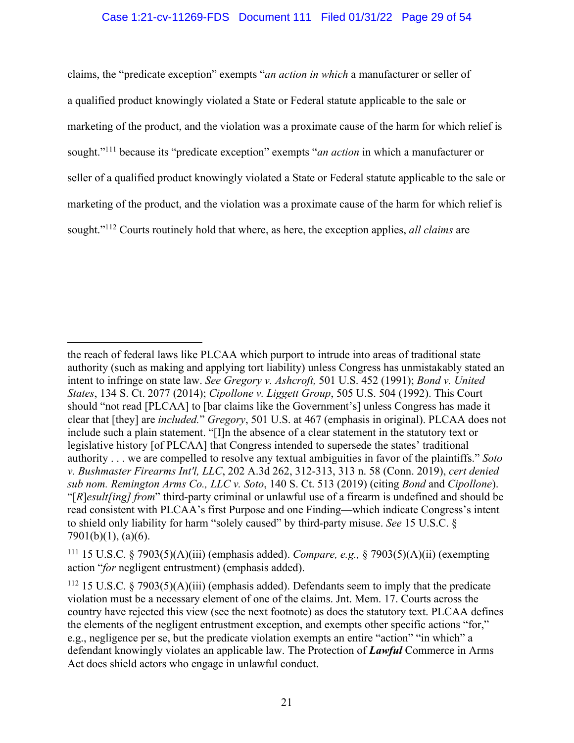#### Case 1:21-cv-11269-FDS Document 111 Filed 01/31/22 Page 29 of 54

claims, the "predicate exception" exempts "*an action in which* a manufacturer or seller of a qualified product knowingly violated a State or Federal statute applicable to the sale or marketing of the product, and the violation was a proximate cause of the harm for which relief is sought."111 because its "predicate exception" exempts "*an action* in which a manufacturer or seller of a qualified product knowingly violated a State or Federal statute applicable to the sale or marketing of the product, and the violation was a proximate cause of the harm for which relief is sought."112 Courts routinely hold that where, as here, the exception applies, *all claims* are

the reach of federal laws like PLCAA which purport to intrude into areas of traditional state authority (such as making and applying tort liability) unless Congress has unmistakably stated an intent to infringe on state law. *See Gregory v. Ashcroft,* 501 U.S. 452 (1991); *Bond v. United States*, 134 S. Ct. 2077 (2014); *Cipollone v. Liggett Group*, 505 U.S. 504 (1992). This Court should "not read [PLCAA] to [bar claims like the Government's] unless Congress has made it clear that [they] are *included.*" *Gregory*, 501 U.S. at 467 (emphasis in original). PLCAA does not include such a plain statement. "[I]n the absence of a clear statement in the statutory text or legislative history [of PLCAA] that Congress intended to supersede the states' traditional authority . . . we are compelled to resolve any textual ambiguities in favor of the plaintiffs." *Soto v. Bushmaster Firearms Int'l, LLC*, 202 A.3d 262, 312-313, 313 n. 58 (Conn. 2019), *cert denied sub nom. Remington Arms Co., LLC v. Soto*, 140 S. Ct. 513 (2019) (citing *Bond* and *Cipollone*). "[*R*]*esult[ing] from*" third-party criminal or unlawful use of a firearm is undefined and should be read consistent with PLCAA's first Purpose and one Finding—which indicate Congress's intent to shield only liability for harm "solely caused" by third-party misuse. *See* 15 U.S.C. § 7901(b)(1), (a)(6).

<sup>111</sup> 15 U.S.C. § 7903(5)(A)(iii) (emphasis added). *Compare, e.g.,* § 7903(5)(A)(ii) (exempting action "*for* negligent entrustment) (emphasis added).

<sup>&</sup>lt;sup>112</sup> 15 U.S.C. § 7903(5)(A)(iii) (emphasis added). Defendants seem to imply that the predicate violation must be a necessary element of one of the claims. Jnt. Mem. 17. Courts across the country have rejected this view (see the next footnote) as does the statutory text. PLCAA defines the elements of the negligent entrustment exception, and exempts other specific actions "for," e.g., negligence per se, but the predicate violation exempts an entire "action" "in which" a defendant knowingly violates an applicable law. The Protection of *Lawful* Commerce in Arms Act does shield actors who engage in unlawful conduct.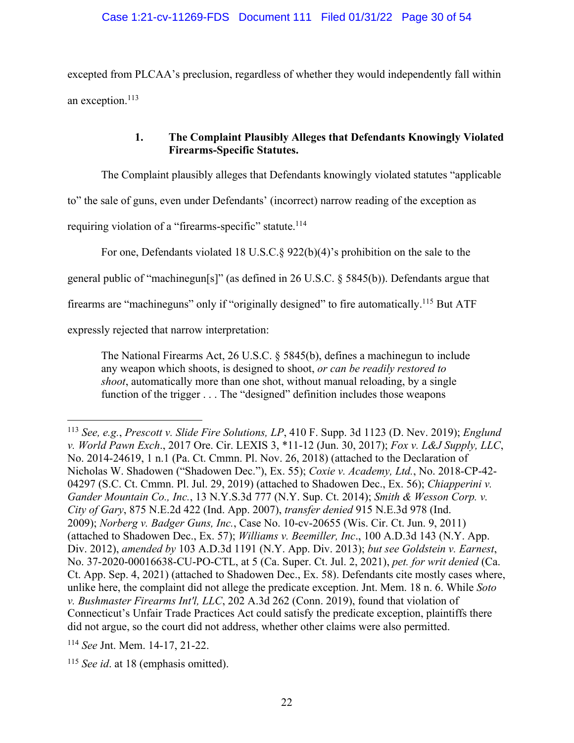excepted from PLCAA's preclusion, regardless of whether they would independently fall within an exception. 113

# **1. The Complaint Plausibly Alleges that Defendants Knowingly Violated Firearms-Specific Statutes.**

The Complaint plausibly alleges that Defendants knowingly violated statutes "applicable

to" the sale of guns, even under Defendants' (incorrect) narrow reading of the exception as

requiring violation of a "firearms-specific" statute.<sup>114</sup>

For one, Defendants violated 18 U.S.C.§ 922(b)(4)'s prohibition on the sale to the

general public of "machinegun[s]" (as defined in 26 U.S.C. § 5845(b)). Defendants argue that

firearms are "machineguns" only if "originally designed" to fire automatically.<sup>115</sup> But ATF

expressly rejected that narrow interpretation:

The National Firearms Act, 26 U.S.C. § 5845(b), defines a machinegun to include any weapon which shoots, is designed to shoot, *or can be readily restored to shoot*, automatically more than one shot, without manual reloading, by a single function of the trigger . . . The "designed" definition includes those weapons

<sup>113</sup> *See, e.g.*, *Prescott v. Slide Fire Solutions, LP*, 410 F. Supp. 3d 1123 (D. Nev. 2019); *Englund v. World Pawn Exch*., 2017 Ore. Cir. LEXIS 3, \*11-12 (Jun. 30, 2017); *Fox v. L&J Supply, LLC*, No. 2014-24619, 1 n.1 (Pa. Ct. Cmmn. Pl. Nov. 26, 2018) (attached to the Declaration of Nicholas W. Shadowen ("Shadowen Dec."), Ex. 55); *Coxie v. Academy, Ltd.*, No. 2018-CP-42- 04297 (S.C. Ct. Cmmn. Pl. Jul. 29, 2019) (attached to Shadowen Dec., Ex. 56); *Chiapperini v. Gander Mountain Co., Inc.*, 13 N.Y.S.3d 777 (N.Y. Sup. Ct. 2014); *Smith & Wesson Corp. v. City of Gary*, 875 N.E.2d 422 (Ind. App. 2007), *transfer denied* 915 N.E.3d 978 (Ind. 2009); *Norberg v. Badger Guns, Inc.*, Case No. 10-cv-20655 (Wis. Cir. Ct. Jun. 9, 2011) (attached to Shadowen Dec., Ex. 57); *Williams v. Beemiller, Inc*., 100 A.D.3d 143 (N.Y. App. Div. 2012), *amended by* 103 A.D.3d 1191 (N.Y. App. Div. 2013); *but see Goldstein v. Earnest*, No. 37-2020-00016638-CU-PO-CTL, at 5 (Ca. Super. Ct. Jul. 2, 2021), *pet. for writ denied* (Ca. Ct. App. Sep. 4, 2021) (attached to Shadowen Dec., Ex. 58). Defendants cite mostly cases where, unlike here, the complaint did not allege the predicate exception. Jnt. Mem. 18 n. 6. While *Soto v. Bushmaster Firearms Int'l, LLC*, 202 A.3d 262 (Conn. 2019), found that violation of Connecticut's Unfair Trade Practices Act could satisfy the predicate exception, plaintiffs there did not argue, so the court did not address, whether other claims were also permitted.

<sup>114</sup> *See* Jnt. Mem. 14-17, 21-22.

<sup>115</sup> *See id*. at 18 (emphasis omitted).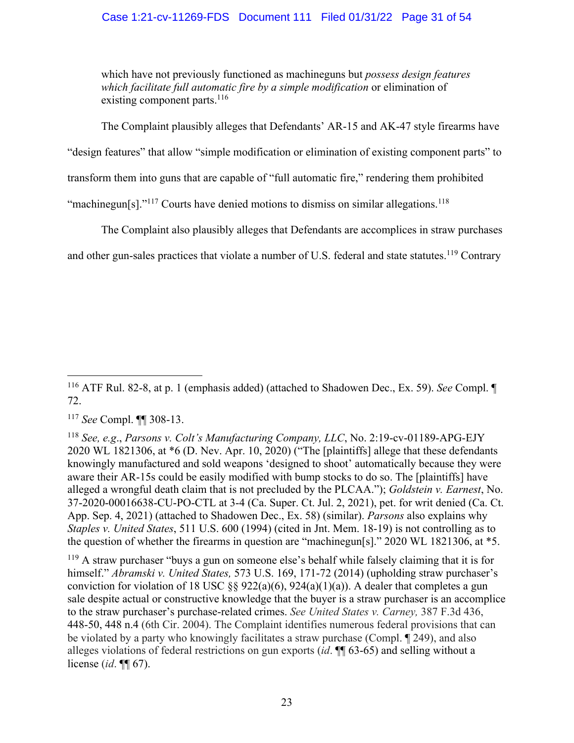## Case 1:21-cv-11269-FDS Document 111 Filed 01/31/22 Page 31 of 54

which have not previously functioned as machineguns but *possess design features which facilitate full automatic fire by a simple modification* or elimination of existing component parts. $116$ 

The Complaint plausibly alleges that Defendants' AR-15 and AK-47 style firearms have

"design features" that allow "simple modification or elimination of existing component parts" to

transform them into guns that are capable of "full automatic fire," rendering them prohibited

"machinegun[s]."<sup>117</sup> Courts have denied motions to dismiss on similar allegations.<sup>118</sup>

The Complaint also plausibly alleges that Defendants are accomplices in straw purchases

and other gun-sales practices that violate a number of U.S. federal and state statutes.<sup>119</sup> Contrary

<sup>119</sup> A straw purchaser "buys a gun on someone else's behalf while falsely claiming that it is for himself." *Abramski v. United States,* 573 U.S. 169, 171-72 (2014) (upholding straw purchaser's conviction for violation of 18 USC  $\S$ § 922(a)(6), 924(a)(1)(a)). A dealer that completes a gun sale despite actual or constructive knowledge that the buyer is a straw purchaser is an accomplice to the straw purchaser's purchase-related crimes. *See United States v. Carney,* 387 F.3d 436, 448-50, 448 n.4 (6th Cir. 2004). The Complaint identifies numerous federal provisions that can be violated by a party who knowingly facilitates a straw purchase (Compl. ¶ 249), and also alleges violations of federal restrictions on gun exports (*id*. ¶¶ 63-65) and selling without a license (*id*. ¶¶ 67).

<sup>116</sup> ATF Rul. 82-8, at p. 1 (emphasis added) (attached to Shadowen Dec., Ex. 59). *See* Compl. ¶ 72.

<sup>117</sup> *See* Compl. ¶¶ 308-13.

<sup>118</sup> *See, e.g*., *Parsons v. Colt's Manufacturing Company, LLC*, No. 2:19-cv-01189-APG-EJY 2020 WL 1821306, at \*6 (D. Nev. Apr. 10, 2020) ("The [plaintiffs] allege that these defendants knowingly manufactured and sold weapons 'designed to shoot' automatically because they were aware their AR-15s could be easily modified with bump stocks to do so. The [plaintiffs] have alleged a wrongful death claim that is not precluded by the PLCAA."); *Goldstein v. Earnest*, No. 37-2020-00016638-CU-PO-CTL at 3-4 (Ca. Super. Ct. Jul. 2, 2021), pet. for writ denied (Ca. Ct. App. Sep. 4, 2021) (attached to Shadowen Dec., Ex. 58) (similar). *Parsons* also explains why *Staples v. United States*, 511 U.S. 600 (1994) (cited in Jnt. Mem. 18-19) is not controlling as to the question of whether the firearms in question are "machinegun[s]." 2020 WL 1821306, at \*5.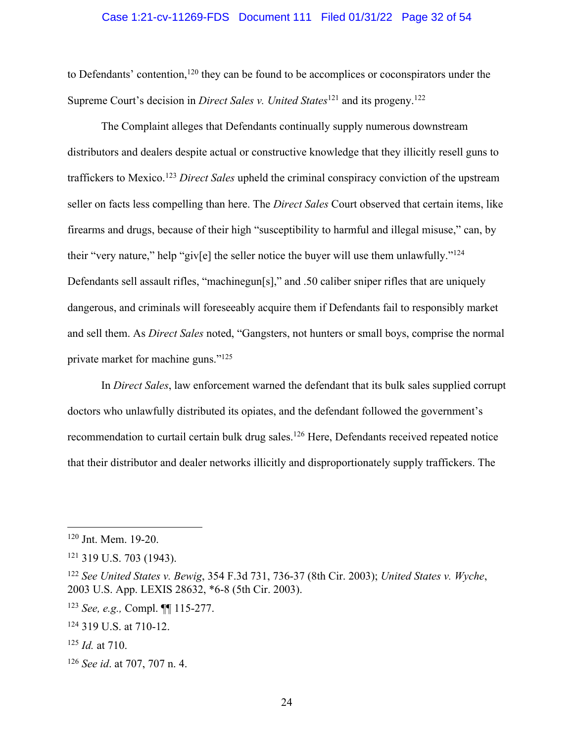#### Case 1:21-cv-11269-FDS Document 111 Filed 01/31/22 Page 32 of 54

to Defendants' contention,<sup>120</sup> they can be found to be accomplices or coconspirators under the Supreme Court's decision in *Direct Sales v. United States*<sup>121</sup> and its progeny.122

The Complaint alleges that Defendants continually supply numerous downstream distributors and dealers despite actual or constructive knowledge that they illicitly resell guns to traffickers to Mexico. <sup>123</sup> *Direct Sales* upheld the criminal conspiracy conviction of the upstream seller on facts less compelling than here. The *Direct Sales* Court observed that certain items, like firearms and drugs, because of their high "susceptibility to harmful and illegal misuse," can, by their "very nature," help "giv[e] the seller notice the buyer will use them unlawfully."124 Defendants sell assault rifles, "machinegun[s]," and .50 caliber sniper rifles that are uniquely dangerous, and criminals will foreseeably acquire them if Defendants fail to responsibly market and sell them. As *Direct Sales* noted, "Gangsters, not hunters or small boys, comprise the normal private market for machine guns."125

In *Direct Sales*, law enforcement warned the defendant that its bulk sales supplied corrupt doctors who unlawfully distributed its opiates, and the defendant followed the government's recommendation to curtail certain bulk drug sales.<sup>126</sup> Here, Defendants received repeated notice that their distributor and dealer networks illicitly and disproportionately supply traffickers. The

<sup>120</sup> Jnt. Mem. 19-20.

<sup>121</sup> 319 U.S. 703 (1943).

<sup>122</sup> *See United States v. Bewig*, 354 F.3d 731, 736-37 (8th Cir. 2003); *United States v. Wyche*, 2003 U.S. App. LEXIS 28632, \*6-8 (5th Cir. 2003).

<sup>123</sup> *See, e.g.,* Compl. ¶¶ 115-277.

<sup>124</sup> 319 U.S. at 710-12.

<sup>125</sup> *Id.* at 710.

<sup>126</sup> *See id*. at 707, 707 n. 4.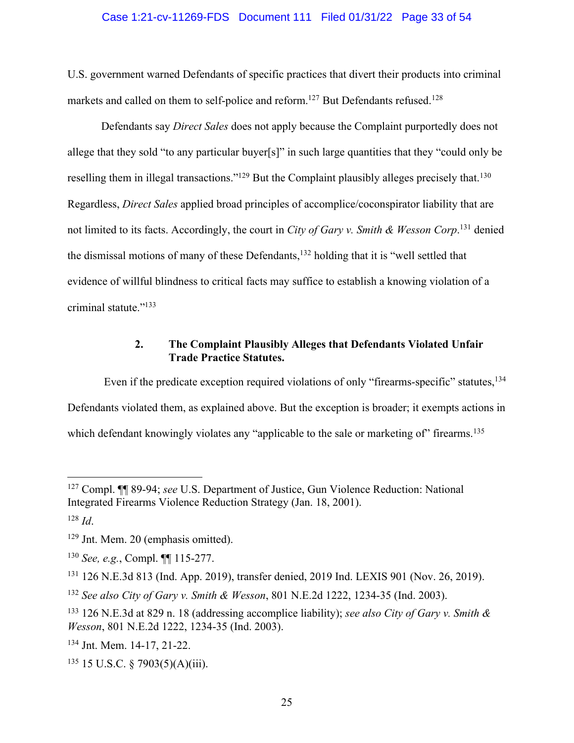#### Case 1:21-cv-11269-FDS Document 111 Filed 01/31/22 Page 33 of 54

U.S. government warned Defendants of specific practices that divert their products into criminal markets and called on them to self-police and reform.<sup>127</sup> But Defendants refused.<sup>128</sup>

Defendants say *Direct Sales* does not apply because the Complaint purportedly does not allege that they sold "to any particular buyer[s]" in such large quantities that they "could only be reselling them in illegal transactions."<sup>129</sup> But the Complaint plausibly alleges precisely that.<sup>130</sup> Regardless, *Direct Sales* applied broad principles of accomplice/coconspirator liability that are not limited to its facts. Accordingly, the court in *City of Gary v. Smith & Wesson Corp*. <sup>131</sup> denied the dismissal motions of many of these Defendants,<sup>132</sup> holding that it is "well settled that evidence of willful blindness to critical facts may suffice to establish a knowing violation of a criminal statute."133

## **2. The Complaint Plausibly Alleges that Defendants Violated Unfair Trade Practice Statutes.**

Even if the predicate exception required violations of only "firearms-specific" statutes, <sup>134</sup> Defendants violated them, as explained above. But the exception is broader; it exempts actions in which defendant knowingly violates any "applicable to the sale or marketing of" firearms.<sup>135</sup>

<sup>134</sup> Jnt. Mem. 14-17, 21-22.

<sup>127</sup> Compl. ¶¶ 89-94; *see* U.S. Department of Justice, Gun Violence Reduction: National Integrated Firearms Violence Reduction Strategy (Jan. 18, 2001).

<sup>128</sup> *Id*.

<sup>129</sup> Jnt. Mem. 20 (emphasis omitted).

<sup>130</sup> *See, e.g.*, Compl. ¶¶ 115-277.

<sup>131</sup> 126 N.E.3d 813 (Ind. App. 2019), transfer denied, 2019 Ind. LEXIS 901 (Nov. 26, 2019).

<sup>132</sup> *See also City of Gary v. Smith & Wesson*, 801 N.E.2d 1222, 1234-35 (Ind. 2003).

<sup>133</sup> 126 N.E.3d at 829 n. 18 (addressing accomplice liability); *see also City of Gary v. Smith & Wesson*, 801 N.E.2d 1222, 1234-35 (Ind. 2003).

 $135$  15 U.S.C. § 7903(5)(A)(iii).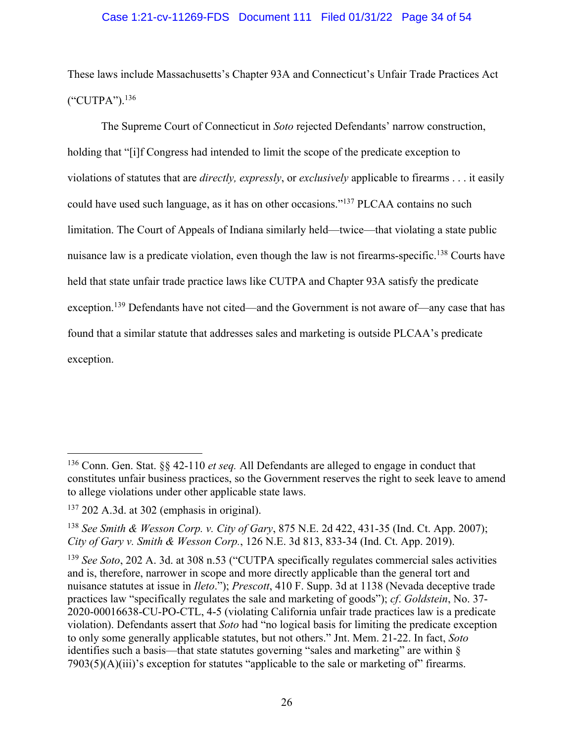#### Case 1:21-cv-11269-FDS Document 111 Filed 01/31/22 Page 34 of 54

These laws include Massachusetts's Chapter 93A and Connecticut's Unfair Trade Practices Act ("CUTPA"). 136

The Supreme Court of Connecticut in *Soto* rejected Defendants' narrow construction, holding that "[i]f Congress had intended to limit the scope of the predicate exception to violations of statutes that are *directly, expressly*, or *exclusively* applicable to firearms . . . it easily could have used such language, as it has on other occasions."137 PLCAA contains no such limitation. The Court of Appeals of Indiana similarly held—twice—that violating a state public nuisance law is a predicate violation, even though the law is not firearms-specific.<sup>138</sup> Courts have held that state unfair trade practice laws like CUTPA and Chapter 93A satisfy the predicate exception.<sup>139</sup> Defendants have not cited—and the Government is not aware of—any case that has found that a similar statute that addresses sales and marketing is outside PLCAA's predicate exception.

<sup>136</sup> Conn. Gen. Stat. §§ 42-110 *et seq.* All Defendants are alleged to engage in conduct that constitutes unfair business practices, so the Government reserves the right to seek leave to amend to allege violations under other applicable state laws.

<sup>137</sup> 202 A.3d. at 302 (emphasis in original).

<sup>138</sup> *See Smith & Wesson Corp. v. City of Gary*, 875 N.E. 2d 422, 431-35 (Ind. Ct. App. 2007); *City of Gary v. Smith & Wesson Corp.*, 126 N.E. 3d 813, 833-34 (Ind. Ct. App. 2019).

<sup>139</sup> *See Soto*, 202 A. 3d. at 308 n.53 ("CUTPA specifically regulates commercial sales activities and is, therefore, narrower in scope and more directly applicable than the general tort and nuisance statutes at issue in *Ileto*."); *Prescott*, 410 F. Supp. 3d at 1138 (Nevada deceptive trade practices law "specifically regulates the sale and marketing of goods"); *cf*. *Goldstein*, No. 37- 2020-00016638-CU-PO-CTL, 4-5 (violating California unfair trade practices law is a predicate violation). Defendants assert that *Soto* had "no logical basis for limiting the predicate exception to only some generally applicable statutes, but not others." Jnt. Mem. 21-22. In fact, *Soto* identifies such a basis—that state statutes governing "sales and marketing" are within §  $7903(5)(A)(iii)$ 's exception for statutes "applicable to the sale or marketing of" firearms.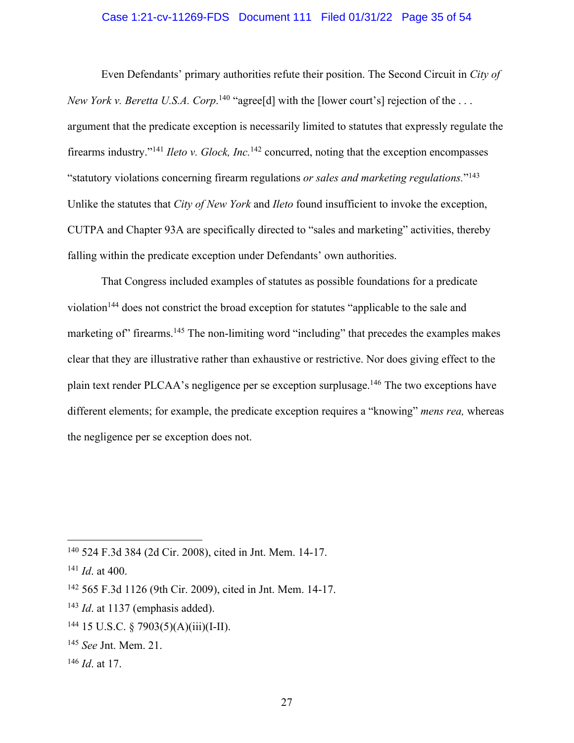#### Case 1:21-cv-11269-FDS Document 111 Filed 01/31/22 Page 35 of 54

Even Defendants' primary authorities refute their position. The Second Circuit in *City of New York v. Beretta U.S.A. Corp.*<sup>140</sup> "agree<sup>[d]</sup> with the [lower court's] rejection of the ... argument that the predicate exception is necessarily limited to statutes that expressly regulate the firearms industry."141 *Ileto v. Glock, Inc.*<sup>142</sup> concurred, noting that the exception encompasses "statutory violations concerning firearm regulations *or sales and marketing regulations.*"143 Unlike the statutes that *City of New York* and *Ileto* found insufficient to invoke the exception, CUTPA and Chapter 93A are specifically directed to "sales and marketing" activities, thereby falling within the predicate exception under Defendants' own authorities.

That Congress included examples of statutes as possible foundations for a predicate violation<sup>144</sup> does not constrict the broad exception for statutes "applicable to the sale and marketing of" firearms.<sup>145</sup> The non-limiting word "including" that precedes the examples makes clear that they are illustrative rather than exhaustive or restrictive. Nor does giving effect to the plain text render PLCAA's negligence per se exception surplusage.146 The two exceptions have different elements; for example, the predicate exception requires a "knowing" *mens rea,* whereas the negligence per se exception does not.

- <sup>143</sup> *Id.* at 1137 (emphasis added).
- $144$  15 U.S.C. § 7903(5)(A)(iii)(I-II).
- <sup>145</sup> *See* Jnt. Mem. 21.
- <sup>146</sup> *Id*. at 17.

<sup>140</sup> 524 F.3d 384 (2d Cir. 2008), cited in Jnt. Mem. 14-17.

<sup>141</sup> *Id*. at 400.

<sup>142</sup> 565 F.3d 1126 (9th Cir. 2009), cited in Jnt. Mem. 14-17.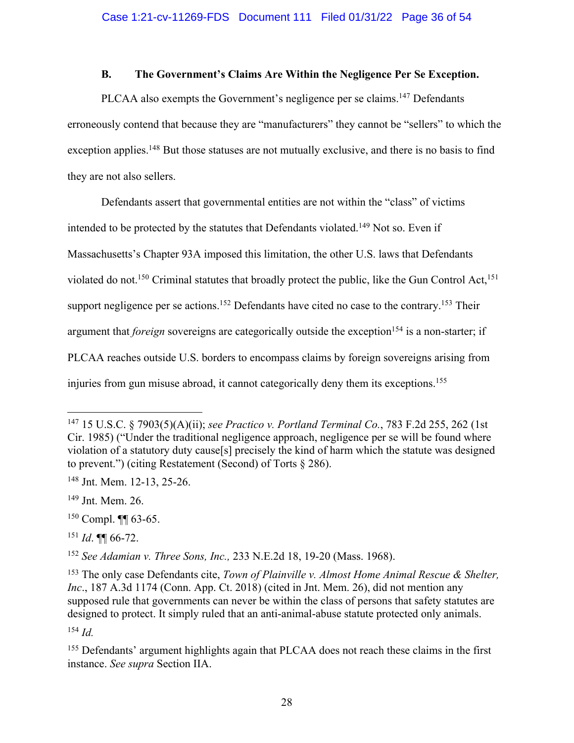### **B. The Government's Claims Are Within the Negligence Per Se Exception.**

PLCAA also exempts the Government's negligence per se claims.<sup>147</sup> Defendants erroneously contend that because they are "manufacturers" they cannot be "sellers" to which the exception applies.<sup>148</sup> But those statuses are not mutually exclusive, and there is no basis to find they are not also sellers.

Defendants assert that governmental entities are not within the "class" of victims intended to be protected by the statutes that Defendants violated.<sup>149</sup> Not so. Even if Massachusetts's Chapter 93A imposed this limitation, the other U.S. laws that Defendants violated do not.<sup>150</sup> Criminal statutes that broadly protect the public, like the Gun Control Act,<sup>151</sup> support negligence per se actions.<sup>152</sup> Defendants have cited no case to the contrary.<sup>153</sup> Their argument that *foreign* sovereigns are categorically outside the exception<sup>154</sup> is a non-starter; if PLCAA reaches outside U.S. borders to encompass claims by foreign sovereigns arising from injuries from gun misuse abroad, it cannot categorically deny them its exceptions.<sup>155</sup>

<sup>152</sup> *See Adamian v. Three Sons, Inc.,* 233 N.E.2d 18, 19-20 (Mass. 1968).

<sup>154</sup> *Id.*

<sup>147</sup> 15 U.S.C. § 7903(5)(A)(ii); *see Practico v. Portland Terminal Co.*, 783 F.2d 255, 262 (1st Cir. 1985) ("Under the traditional negligence approach, negligence per se will be found where violation of a statutory duty cause[s] precisely the kind of harm which the statute was designed to prevent.") (citing Restatement (Second) of Torts § 286).

<sup>148</sup> Jnt. Mem. 12-13, 25-26.

<sup>149</sup> Jnt. Mem. 26.

 $150$  Compl.  $\P\P$  63-65.

<sup>151</sup> *Id*. ¶¶ 66-72.

<sup>153</sup> The only case Defendants cite, *Town of Plainville v. Almost Home Animal Rescue & Shelter, Inc.*, 187 A.3d 1174 (Conn. App. Ct. 2018) (cited in Jnt. Mem. 26), did not mention any supposed rule that governments can never be within the class of persons that safety statutes are designed to protect. It simply ruled that an anti-animal-abuse statute protected only animals.

<sup>&</sup>lt;sup>155</sup> Defendants' argument highlights again that PLCAA does not reach these claims in the first instance. *See supra* Section IIA.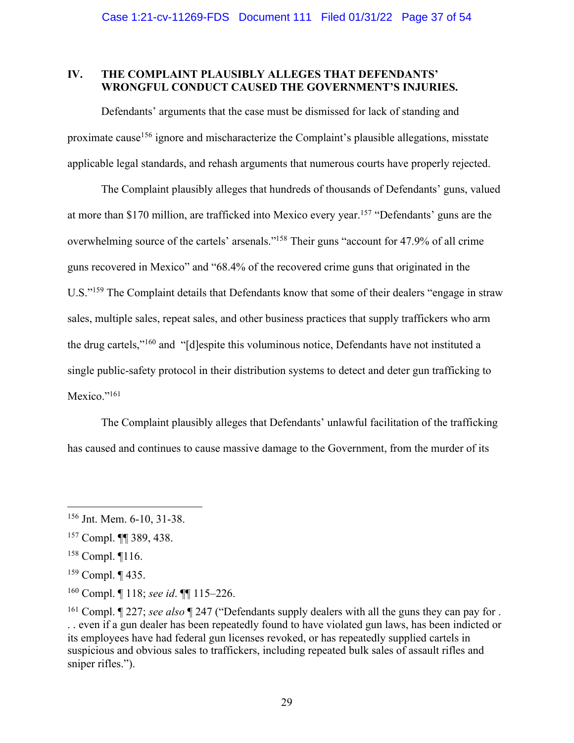## **IV. THE COMPLAINT PLAUSIBLY ALLEGES THAT DEFENDANTS' WRONGFUL CONDUCT CAUSED THE GOVERNMENT'S INJURIES.**

Defendants' arguments that the case must be dismissed for lack of standing and proximate cause<sup>156</sup> ignore and mischaracterize the Complaint's plausible allegations, misstate applicable legal standards, and rehash arguments that numerous courts have properly rejected.

The Complaint plausibly alleges that hundreds of thousands of Defendants' guns, valued at more than \$170 million, are trafficked into Mexico every year.157 "Defendants' guns are the overwhelming source of the cartels' arsenals."158 Their guns "account for 47.9% of all crime guns recovered in Mexico" and "68.4% of the recovered crime guns that originated in the U.S."<sup>159</sup> The Complaint details that Defendants know that some of their dealers "engage in straw sales, multiple sales, repeat sales, and other business practices that supply traffickers who arm the drug cartels,"160 and "[d]espite this voluminous notice, Defendants have not instituted a single public-safety protocol in their distribution systems to detect and deter gun trafficking to Mexico."<sup>161</sup>

The Complaint plausibly alleges that Defendants' unlawful facilitation of the trafficking has caused and continues to cause massive damage to the Government, from the murder of its

<sup>156</sup> Jnt. Mem. 6-10, 31-38.

<sup>157</sup> Compl. ¶¶ 389, 438.

<sup>158</sup> Compl. ¶116.

<sup>159</sup> Compl. ¶ 435.

<sup>160</sup> Compl. ¶ 118; *see id*. ¶¶ 115–226.

<sup>161</sup> Compl. ¶ 227; *see also* ¶ 247 ("Defendants supply dealers with all the guns they can pay for . . . even if a gun dealer has been repeatedly found to have violated gun laws, has been indicted or its employees have had federal gun licenses revoked, or has repeatedly supplied cartels in suspicious and obvious sales to traffickers, including repeated bulk sales of assault rifles and sniper rifles.").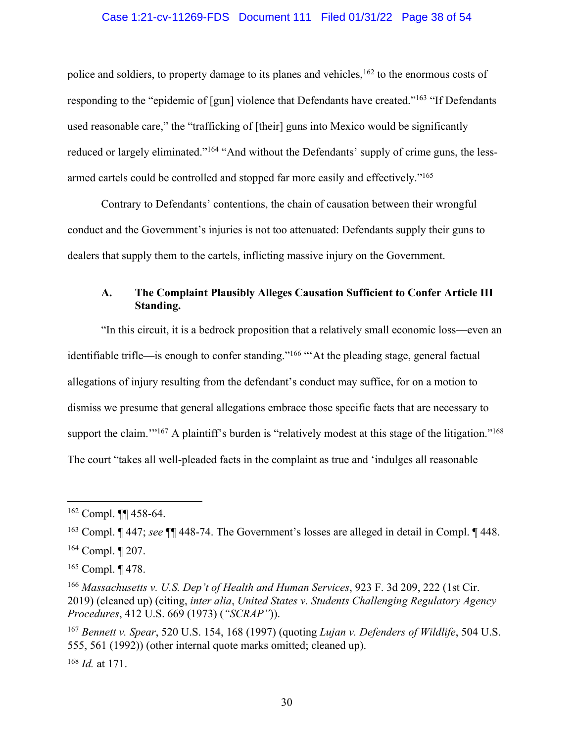#### Case 1:21-cv-11269-FDS Document 111 Filed 01/31/22 Page 38 of 54

police and soldiers, to property damage to its planes and vehicles, <sup>162</sup> to the enormous costs of responding to the "epidemic of [gun] violence that Defendants have created."<sup>163</sup> "If Defendants used reasonable care," the "trafficking of [their] guns into Mexico would be significantly reduced or largely eliminated."164 "And without the Defendants' supply of crime guns, the lessarmed cartels could be controlled and stopped far more easily and effectively."165

Contrary to Defendants' contentions, the chain of causation between their wrongful conduct and the Government's injuries is not too attenuated: Defendants supply their guns to dealers that supply them to the cartels, inflicting massive injury on the Government.

## **A. The Complaint Plausibly Alleges Causation Sufficient to Confer Article III Standing.**

"In this circuit, it is a bedrock proposition that a relatively small economic loss—even an identifiable trifle—is enough to confer standing."166 "'At the pleading stage, general factual allegations of injury resulting from the defendant's conduct may suffice, for on a motion to dismiss we presume that general allegations embrace those specific facts that are necessary to support the claim."<sup>167</sup> A plaintiff's burden is "relatively modest at this stage of the litigation."<sup>168</sup> The court "takes all well-pleaded facts in the complaint as true and 'indulges all reasonable

 $162$  Compl. **¶** 458-64.

<sup>163</sup> Compl. ¶ 447; *see* ¶¶ 448-74. The Government's losses are alleged in detail in Compl. ¶ 448.

<sup>164</sup> Compl. ¶ 207.

<sup>165</sup> Compl. ¶ 478.

<sup>166</sup> *Massachusetts v. U.S. Dep't of Health and Human Services*, 923 F. 3d 209, 222 (1st Cir. 2019) (cleaned up) (citing, *inter alia*, *United States v. Students Challenging Regulatory Agency Procedures*, 412 U.S. 669 (1973) (*"SCRAP"*)).

<sup>167</sup> *Bennett v. Spear*, 520 U.S. 154, 168 (1997) (quoting *Lujan v. Defenders of Wildlife*, 504 U.S. 555, 561 (1992)) (other internal quote marks omitted; cleaned up).

<sup>168</sup> *Id.* at 171.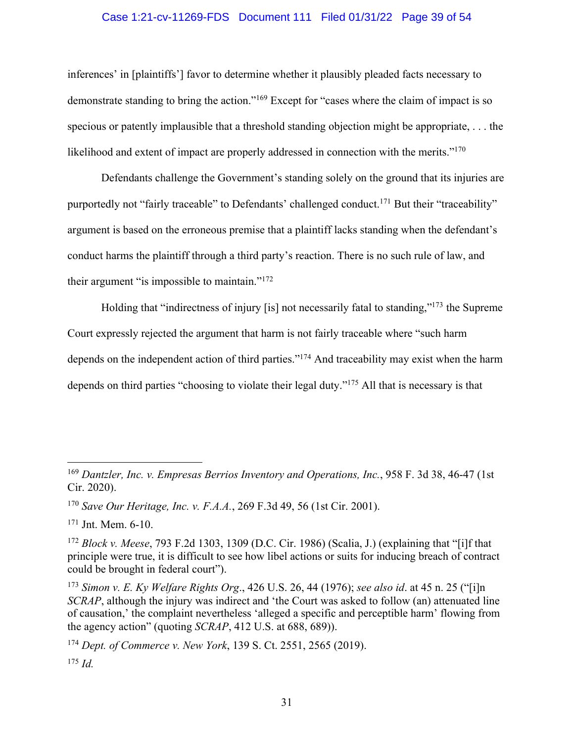### Case 1:21-cv-11269-FDS Document 111 Filed 01/31/22 Page 39 of 54

inferences' in [plaintiffs'] favor to determine whether it plausibly pleaded facts necessary to demonstrate standing to bring the action."169 Except for "cases where the claim of impact is so specious or patently implausible that a threshold standing objection might be appropriate, . . . the likelihood and extent of impact are properly addressed in connection with the merits."<sup>170</sup>

Defendants challenge the Government's standing solely on the ground that its injuries are purportedly not "fairly traceable" to Defendants' challenged conduct.<sup>171</sup> But their "traceability" argument is based on the erroneous premise that a plaintiff lacks standing when the defendant's conduct harms the plaintiff through a third party's reaction. There is no such rule of law, and their argument "is impossible to maintain."172

Holding that "indirectness of injury [is] not necessarily fatal to standing,"173 the Supreme Court expressly rejected the argument that harm is not fairly traceable where "such harm depends on the independent action of third parties."174 And traceability may exist when the harm depends on third parties "choosing to violate their legal duty."175 All that is necessary is that

<sup>174</sup> *Dept. of Commerce v. New York*, 139 S. Ct. 2551, 2565 (2019).  $175$  *Id.* 

<sup>169</sup> *Dantzler, Inc. v. Empresas Berrios Inventory and Operations, Inc.*, 958 F. 3d 38, 46-47 (1st Cir. 2020).

<sup>170</sup> *Save Our Heritage, Inc. v. F.A.A.*, 269 F.3d 49, 56 (1st Cir. 2001).

 $171$  Jnt. Mem. 6-10.

<sup>172</sup> *Block v. Meese*, 793 F.2d 1303, 1309 (D.C. Cir. 1986) (Scalia, J.) (explaining that "[i]f that principle were true, it is difficult to see how libel actions or suits for inducing breach of contract could be brought in federal court").

<sup>173</sup> *Simon v. E. Ky Welfare Rights Org*., 426 U.S. 26, 44 (1976); *see also id*. at 45 n. 25 ("[i]n *SCRAP*, although the injury was indirect and 'the Court was asked to follow (an) attenuated line of causation,' the complaint nevertheless 'alleged a specific and perceptible harm' flowing from the agency action" (quoting *SCRAP*, 412 U.S. at 688, 689)).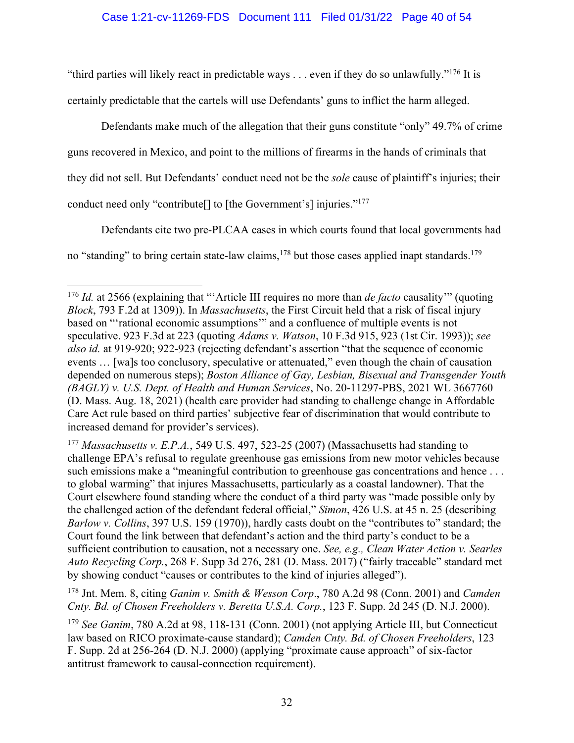#### Case 1:21-cv-11269-FDS Document 111 Filed 01/31/22 Page 40 of 54

"third parties will likely react in predictable ways  $\ldots$  even if they do so unlawfully."<sup>176</sup> It is certainly predictable that the cartels will use Defendants' guns to inflict the harm alleged.

Defendants make much of the allegation that their guns constitute "only" 49.7% of crime guns recovered in Mexico, and point to the millions of firearms in the hands of criminals that they did not sell. But Defendants' conduct need not be the *sole* cause of plaintiff's injuries; their conduct need only "contribute[] to [the Government's] injuries."177

Defendants cite two pre-PLCAA cases in which courts found that local governments had no "standing" to bring certain state-law claims, <sup>178</sup> but those cases applied inapt standards. <sup>179</sup>

<sup>178</sup> Jnt. Mem. 8, citing *Ganim v. Smith & Wesson Corp*., 780 A.2d 98 (Conn. 2001) and *Camden Cnty. Bd. of Chosen Freeholders v. Beretta U.S.A. Corp.*, 123 F. Supp. 2d 245 (D. N.J. 2000).

<sup>176</sup> *Id.* at 2566 (explaining that "'Article III requires no more than *de facto* causality'" (quoting *Block*, 793 F.2d at 1309)). In *Massachusetts*, the First Circuit held that a risk of fiscal injury based on "'rational economic assumptions'" and a confluence of multiple events is not speculative. 923 F.3d at 223 (quoting *Adams v. Watson*, 10 F.3d 915, 923 (1st Cir. 1993)); *see also id.* at 919-920; 922-923 (rejecting defendant's assertion "that the sequence of economic events … [wa]s too conclusory, speculative or attenuated," even though the chain of causation depended on numerous steps); *Boston Alliance of Gay, Lesbian, Bisexual and Transgender Youth (BAGLY) v. U.S. Dept. of Health and Human Services*, No. 20-11297-PBS, 2021 WL 3667760 (D. Mass. Aug. 18, 2021) (health care provider had standing to challenge change in Affordable Care Act rule based on third parties' subjective fear of discrimination that would contribute to increased demand for provider's services).

<sup>177</sup> *Massachusetts v. E.P.A.*, 549 U.S. 497, 523-25 (2007) (Massachusetts had standing to challenge EPA's refusal to regulate greenhouse gas emissions from new motor vehicles because such emissions make a "meaningful contribution to greenhouse gas concentrations and hence ... to global warming" that injures Massachusetts, particularly as a coastal landowner). That the Court elsewhere found standing where the conduct of a third party was "made possible only by the challenged action of the defendant federal official," *Simon*, 426 U.S. at 45 n. 25 (describing *Barlow v. Collins*, 397 U.S. 159 (1970)), hardly casts doubt on the "contributes to" standard; the Court found the link between that defendant's action and the third party's conduct to be a sufficient contribution to causation, not a necessary one. *See, e.g., Clean Water Action v. Searles Auto Recycling Corp.*, 268 F. Supp 3d 276, 281 (D. Mass. 2017) ("fairly traceable" standard met by showing conduct "causes or contributes to the kind of injuries alleged").

<sup>179</sup> *See Ganim*, 780 A.2d at 98, 118-131 (Conn. 2001) (not applying Article III, but Connecticut law based on RICO proximate-cause standard); *Camden Cnty. Bd. of Chosen Freeholders*, 123 F. Supp. 2d at 256-264 (D. N.J. 2000) (applying "proximate cause approach" of six-factor antitrust framework to causal-connection requirement).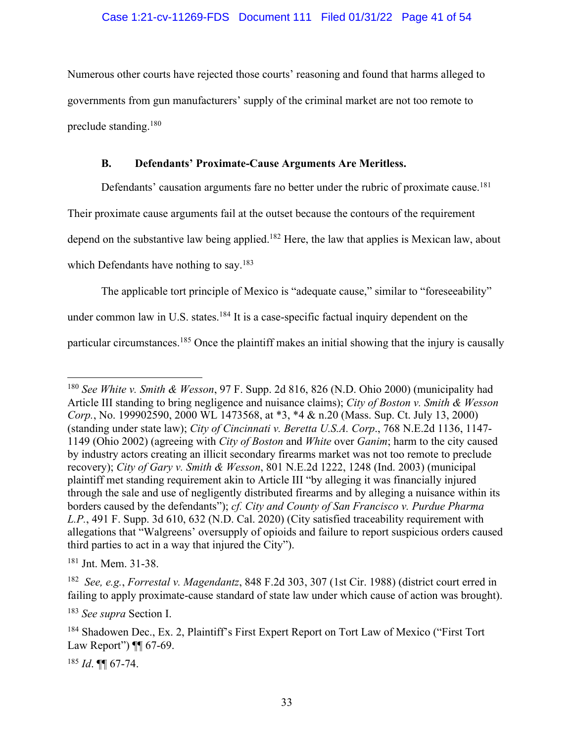Numerous other courts have rejected those courts' reasoning and found that harms alleged to governments from gun manufacturers' supply of the criminal market are not too remote to preclude standing. 180

## **B. Defendants' Proximate-Cause Arguments Are Meritless.**

Defendants' causation arguments fare no better under the rubric of proximate cause.<sup>181</sup>

Their proximate cause arguments fail at the outset because the contours of the requirement

depend on the substantive law being applied.<sup>182</sup> Here, the law that applies is Mexican law, about

which Defendants have nothing to say.<sup>183</sup>

The applicable tort principle of Mexico is "adequate cause," similar to "foreseeability"

under common law in U.S. states.<sup>184</sup> It is a case-specific factual inquiry dependent on the

particular circumstances.<sup>185</sup> Once the plaintiff makes an initial showing that the injury is causally

<sup>185</sup> *Id*. ¶¶ 67-74.

<sup>180</sup> *See White v. Smith & Wesson*, 97 F. Supp. 2d 816, 826 (N.D. Ohio 2000) (municipality had Article III standing to bring negligence and nuisance claims); *City of Boston v. Smith & Wesson Corp.*, No. 199902590, 2000 WL 1473568, at \*3, \*4 & n.20 (Mass. Sup. Ct. July 13, 2000) (standing under state law); *City of Cincinnati v. Beretta U.S.A. Corp*., 768 N.E.2d 1136, 1147- 1149 (Ohio 2002) (agreeing with *City of Boston* and *White* over *Ganim*; harm to the city caused by industry actors creating an illicit secondary firearms market was not too remote to preclude recovery); *City of Gary v. Smith & Wesson*, 801 N.E.2d 1222, 1248 (Ind. 2003) (municipal plaintiff met standing requirement akin to Article III "by alleging it was financially injured through the sale and use of negligently distributed firearms and by alleging a nuisance within its borders caused by the defendants"); *cf. City and County of San Francisco v. Purdue Pharma L.P.*, 491 F. Supp. 3d 610, 632 (N.D. Cal. 2020) (City satisfied traceability requirement with allegations that "Walgreens' oversupply of opioids and failure to report suspicious orders caused third parties to act in a way that injured the City").

<sup>181</sup> Jnt. Mem. 31-38.

<sup>182</sup> *See, e.g.*, *Forrestal v. Magendantz*, 848 F.2d 303, 307 (1st Cir. 1988) (district court erred in failing to apply proximate-cause standard of state law under which cause of action was brought).

<sup>183</sup> *See supra* Section I.

<sup>184</sup> Shadowen Dec., Ex. 2, Plaintiff's First Expert Report on Tort Law of Mexico ("First Tort Law Report") ¶ 67-69.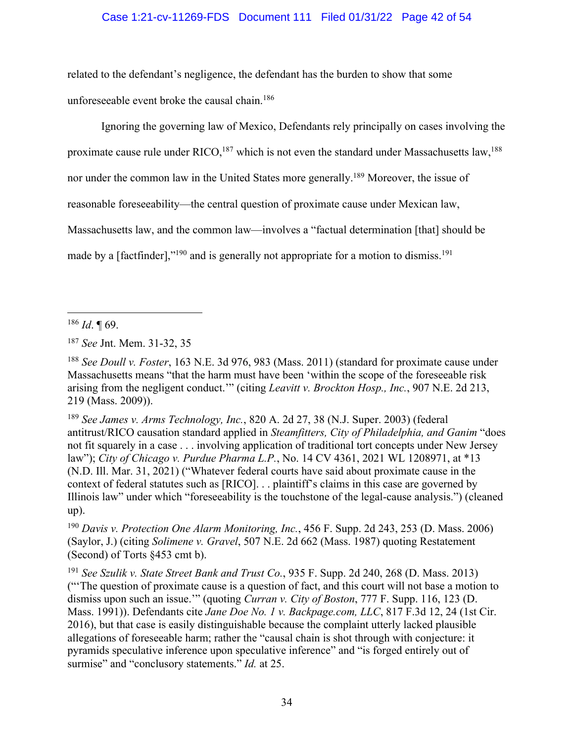## Case 1:21-cv-11269-FDS Document 111 Filed 01/31/22 Page 42 of 54

related to the defendant's negligence, the defendant has the burden to show that some unforeseeable event broke the causal chain.186

Ignoring the governing law of Mexico, Defendants rely principally on cases involving the

proximate cause rule under RICO,<sup>187</sup> which is not even the standard under Massachusetts law,<sup>188</sup>

nor under the common law in the United States more generally.189 Moreover, the issue of

reasonable foreseeability—the central question of proximate cause under Mexican law,

Massachusetts law, and the common law—involves a "factual determination [that] should be

made by a [factfinder],"<sup>190</sup> and is generally not appropriate for a motion to dismiss.<sup>191</sup>

<sup>189</sup> *See James v. Arms Technology, Inc.*, 820 A. 2d 27, 38 (N.J. Super. 2003) (federal antitrust/RICO causation standard applied in *Steamfitters, City of Philadelphia, and Ganim* "does not fit squarely in a case . . . involving application of traditional tort concepts under New Jersey law"); *City of Chicago v. Purdue Pharma L.P.*, No. 14 CV 4361, 2021 WL 1208971, at \*13 (N.D. Ill. Mar. 31, 2021) ("Whatever federal courts have said about proximate cause in the context of federal statutes such as [RICO]. . . plaintiff's claims in this case are governed by Illinois law" under which "foreseeability is the touchstone of the legal-cause analysis.") (cleaned up).

<sup>190</sup> *Davis v. Protection One Alarm Monitoring, Inc.*, 456 F. Supp. 2d 243, 253 (D. Mass. 2006) (Saylor, J.) (citing *Solimene v. Gravel*, 507 N.E. 2d 662 (Mass. 1987) quoting Restatement (Second) of Torts §453 cmt b).

<sup>191</sup> *See Szulik v. State Street Bank and Trust Co.*, 935 F. Supp. 2d 240, 268 (D. Mass. 2013) ("'The question of proximate cause is a question of fact, and this court will not base a motion to dismiss upon such an issue.'" (quoting *Curran v. City of Boston*, 777 F. Supp. 116, 123 (D. Mass. 1991)). Defendants cite *Jane Doe No. 1 v. Backpage.com, LLC*, 817 F.3d 12, 24 (1st Cir. 2016), but that case is easily distinguishable because the complaint utterly lacked plausible allegations of foreseeable harm; rather the "causal chain is shot through with conjecture: it pyramids speculative inference upon speculative inference" and "is forged entirely out of surmise" and "conclusory statements." *Id.* at 25.

<sup>186</sup> *Id*. ¶ 69.

<sup>187</sup> *See* Jnt. Mem. 31-32, 35

<sup>188</sup> *See Doull v. Foster*, 163 N.E. 3d 976, 983 (Mass. 2011) (standard for proximate cause under Massachusetts means "that the harm must have been 'within the scope of the foreseeable risk arising from the negligent conduct.'" (citing *Leavitt v. Brockton Hosp., Inc.*, 907 N.E. 2d 213, 219 (Mass. 2009)).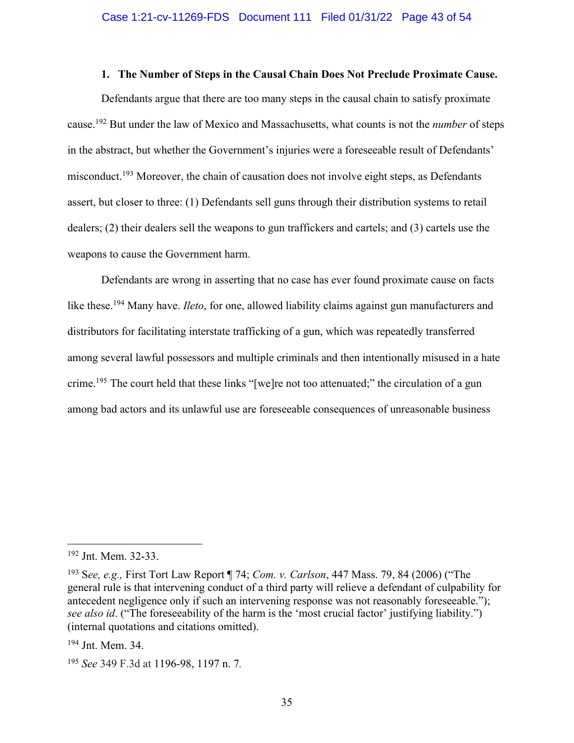#### **1. The Number of Steps in the Causal Chain Does Not Preclude Proximate Cause.**

Defendants argue that there are too many steps in the causal chain to satisfy proximate cause. <sup>192</sup> But under the law of Mexico and Massachusetts, what counts is not the *number* of steps in the abstract, but whether the Government's injuries were a foreseeable result of Defendants' misconduct.<sup>193</sup> Moreover, the chain of causation does not involve eight steps, as Defendants assert, but closer to three: (1) Defendants sell guns through their distribution systems to retail dealers; (2) their dealers sell the weapons to gun traffickers and cartels; and (3) cartels use the weapons to cause the Government harm.

Defendants are wrong in asserting that no case has ever found proximate cause on facts like these.<sup>194</sup> Many have. *Ileto*, for one, allowed liability claims against gun manufacturers and distributors for facilitating interstate trafficking of a gun, which was repeatedly transferred among several lawful possessors and multiple criminals and then intentionally misused in a hate crime.<sup>195</sup> The court held that these links "[we]re not too attenuated;" the circulation of a gun among bad actors and its unlawful use are foreseeable consequences of unreasonable business

<sup>192</sup> Jnt. Mem. 32-33.

<sup>193</sup> S*ee, e.g.,* First Tort Law Report ¶ 74; *Com. v. Carlson*, 447 Mass. 79, 84 (2006) ("The general rule is that intervening conduct of a third party will relieve a defendant of culpability for antecedent negligence only if such an intervening response was not reasonably foreseeable."); *see also id*. ("The foreseeability of the harm is the 'most crucial factor' justifying liability.") (internal quotations and citations omitted).

<sup>194</sup> Jnt. Mem. 34.

<sup>195</sup> *See* 349 F.3d at 1196-98, 1197 n. 7*.*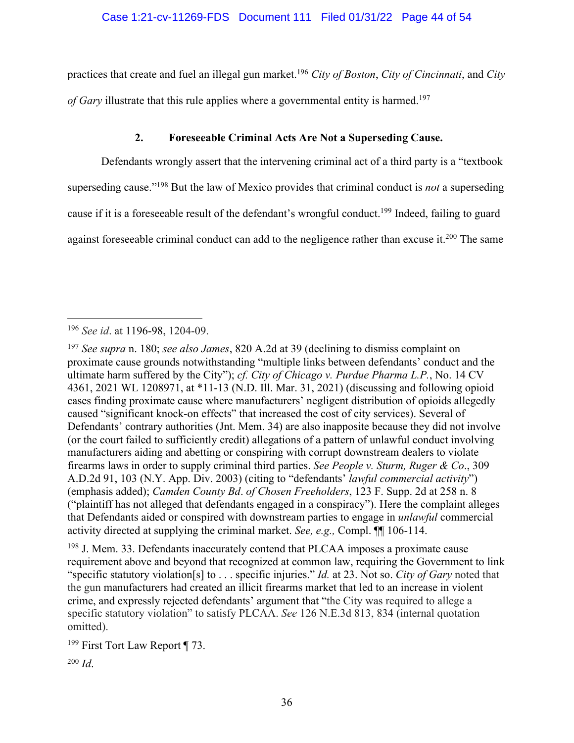practices that create and fuel an illegal gun market.196 *City of Boston*, *City of Cincinnati*, and *City of Gary* illustrate that this rule applies where a governmental entity is harmed. 197

## **2. Foreseeable Criminal Acts Are Not a Superseding Cause.**

Defendants wrongly assert that the intervening criminal act of a third party is a "textbook superseding cause."198 But the law of Mexico provides that criminal conduct is *not* a superseding cause if it is a foreseeable result of the defendant's wrongful conduct.<sup>199</sup> Indeed, failing to guard against foreseeable criminal conduct can add to the negligence rather than excuse it.<sup>200</sup> The same

<sup>198</sup> J. Mem. 33. Defendants inaccurately contend that PLCAA imposes a proximate cause requirement above and beyond that recognized at common law, requiring the Government to link "specific statutory violation[s] to . . . specific injuries." *Id.* at 23. Not so. *City of Gary* noted that the gun manufacturers had created an illicit firearms market that led to an increase in violent crime, and expressly rejected defendants' argument that "the City was required to allege a specific statutory violation" to satisfy PLCAA. *See* 126 N.E.3d 813, 834 (internal quotation omitted).

<sup>199</sup> First Tort Law Report ¶ 73.

<sup>200</sup> *Id*.

<sup>196</sup> *See id*. at 1196-98, 1204-09.

<sup>197</sup> *See supra* n. 180; *see also James*, 820 A.2d at 39 (declining to dismiss complaint on proximate cause grounds notwithstanding "multiple links between defendants' conduct and the ultimate harm suffered by the City"); *cf. City of Chicago v. Purdue Pharma L.P.*, No. 14 CV 4361, 2021 WL 1208971, at \*11-13 (N.D. Ill. Mar. 31, 2021) (discussing and following opioid cases finding proximate cause where manufacturers' negligent distribution of opioids allegedly caused "significant knock-on effects" that increased the cost of city services). Several of Defendants' contrary authorities (Jnt. Mem. 34) are also inapposite because they did not involve (or the court failed to sufficiently credit) allegations of a pattern of unlawful conduct involving manufacturers aiding and abetting or conspiring with corrupt downstream dealers to violate firearms laws in order to supply criminal third parties. *See People v. Sturm, Ruger & Co*., 309 A.D.2d 91, 103 (N.Y. App. Div. 2003) (citing to "defendants' *lawful commercial activity*") (emphasis added); *Camden County Bd*. *of Chosen Freeholders*, 123 F. Supp. 2d at 258 n. 8 ("plaintiff has not alleged that defendants engaged in a conspiracy"). Here the complaint alleges that Defendants aided or conspired with downstream parties to engage in *unlawful* commercial activity directed at supplying the criminal market. *See, e.g.,* Compl. ¶¶ 106-114.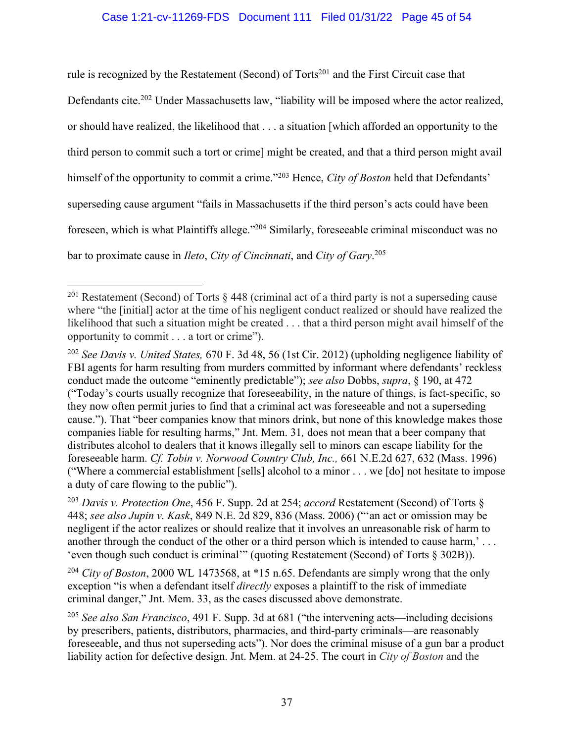## Case 1:21-cv-11269-FDS Document 111 Filed 01/31/22 Page 45 of 54

rule is recognized by the Restatement (Second) of Torts<sup>201</sup> and the First Circuit case that Defendants cite.<sup>202</sup> Under Massachusetts law, "liability will be imposed where the actor realized, or should have realized, the likelihood that . . . a situation [which afforded an opportunity to the third person to commit such a tort or crime] might be created, and that a third person might avail himself of the opportunity to commit a crime."203 Hence, *City of Boston* held that Defendants' superseding cause argument "fails in Massachusetts if the third person's acts could have been foreseen, which is what Plaintiffs allege."204 Similarly, foreseeable criminal misconduct was no bar to proximate cause in *Ileto*, *City of Cincinnati*, and *City of Gary*. 205

<sup>201</sup> Restatement (Second) of Torts § 448 (criminal act of a third party is not a superseding cause where "the [initial] actor at the time of his negligent conduct realized or should have realized the likelihood that such a situation might be created . . . that a third person might avail himself of the opportunity to commit . . . a tort or crime").

<sup>202</sup> *See Davis v. United States,* 670 F. 3d 48, 56 (1st Cir. 2012) (upholding negligence liability of FBI agents for harm resulting from murders committed by informant where defendants' reckless conduct made the outcome "eminently predictable"); *see also* Dobbs, *supra*, § 190, at 472 ("Today's courts usually recognize that foreseeability, in the nature of things, is fact-specific, so they now often permit juries to find that a criminal act was foreseeable and not a superseding cause."). That "beer companies know that minors drink, but none of this knowledge makes those companies liable for resulting harms," Jnt. Mem. 31*,* does not mean that a beer company that distributes alcohol to dealers that it knows illegally sell to minors can escape liability for the foreseeable harm. *Cf. Tobin v. Norwood Country Club, Inc.,* 661 N.E.2d 627, 632 (Mass. 1996) ("Where a commercial establishment [sells] alcohol to a minor . . . we [do] not hesitate to impose a duty of care flowing to the public").

<sup>203</sup> *Davis v. Protection One*, 456 F. Supp. 2d at 254; *accord* Restatement (Second) of Torts § 448; *see also Jupin v. Kask*, 849 N.E. 2d 829, 836 (Mass. 2006) ("'an act or omission may be negligent if the actor realizes or should realize that it involves an unreasonable risk of harm to another through the conduct of the other or a third person which is intended to cause harm,' . . . 'even though such conduct is criminal'" (quoting Restatement (Second) of Torts § 302B)).

<sup>&</sup>lt;sup>204</sup> *City of Boston*, 2000 WL 1473568, at \*15 n.65. Defendants are simply wrong that the only exception "is when a defendant itself *directly* exposes a plaintiff to the risk of immediate criminal danger," Jnt. Mem. 33, as the cases discussed above demonstrate.

<sup>205</sup> *See also San Francisco*, 491 F. Supp. 3d at 681 ("the intervening acts—including decisions by prescribers, patients, distributors, pharmacies, and third-party criminals—are reasonably foreseeable, and thus not superseding acts"). Nor does the criminal misuse of a gun bar a product liability action for defective design. Jnt. Mem. at 24-25. The court in *City of Boston* and the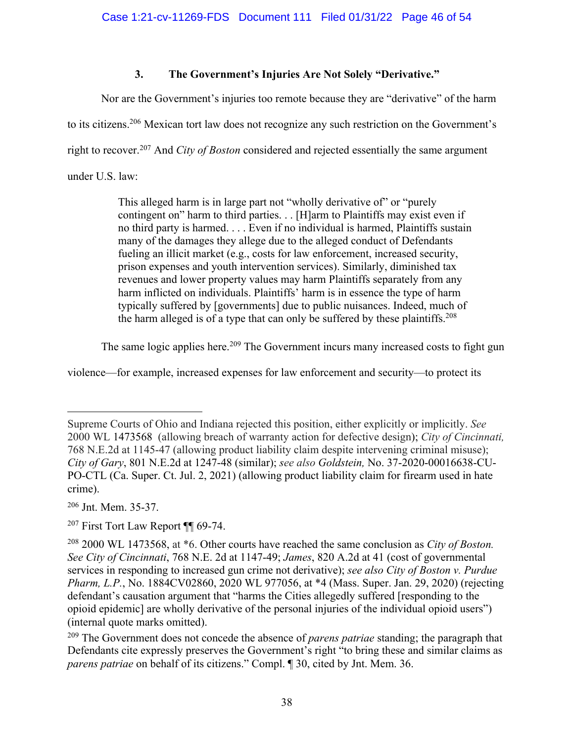# **3. The Government's Injuries Are Not Solely "Derivative."**

Nor are the Government's injuries too remote because they are "derivative" of the harm

to its citizens.206 Mexican tort law does not recognize any such restriction on the Government's

right to recover.207 And *City of Boston* considered and rejected essentially the same argument

under U.S. law:

This alleged harm is in large part not "wholly derivative of" or "purely" contingent on" harm to third parties. . . [H]arm to Plaintiffs may exist even if no third party is harmed. . . . Even if no individual is harmed, Plaintiffs sustain many of the damages they allege due to the alleged conduct of Defendants fueling an illicit market (e.g., costs for law enforcement, increased security, prison expenses and youth intervention services). Similarly, diminished tax revenues and lower property values may harm Plaintiffs separately from any harm inflicted on individuals. Plaintiffs' harm is in essence the type of harm typically suffered by [governments] due to public nuisances. Indeed, much of the harm alleged is of a type that can only be suffered by these plaintiffs.<sup>208</sup>

The same logic applies here.<sup>209</sup> The Government incurs many increased costs to fight gun

violence—for example, increased expenses for law enforcement and security—to protect its

<sup>206</sup> Jnt. Mem. 35-37.

Supreme Courts of Ohio and Indiana rejected this position, either explicitly or implicitly. *See*  2000 WL 1473568 (allowing breach of warranty action for defective design); *City of Cincinnati,* 768 N.E.2d at 1145-47 (allowing product liability claim despite intervening criminal misuse); *City of Gary*, 801 N.E.2d at 1247-48 (similar); *see also Goldstein,* No. 37-2020-00016638-CU-PO-CTL (Ca. Super. Ct. Jul. 2, 2021) (allowing product liability claim for firearm used in hate crime).

<sup>&</sup>lt;sup>207</sup> First Tort Law Report ¶ 69-74.

<sup>208</sup> 2000 WL 1473568, at \*6. Other courts have reached the same conclusion as *City of Boston. See City of Cincinnati*, 768 N.E. 2d at 1147-49; *James*, 820 A.2d at 41 (cost of governmental services in responding to increased gun crime not derivative); *see also City of Boston v. Purdue Pharm, L.P.*, No. 1884CV02860, 2020 WL 977056, at \*4 (Mass. Super. Jan. 29, 2020) (rejecting defendant's causation argument that "harms the Cities allegedly suffered [responding to the opioid epidemic] are wholly derivative of the personal injuries of the individual opioid users") (internal quote marks omitted).

<sup>&</sup>lt;sup>209</sup> The Government does not concede the absence of *parens patriae* standing; the paragraph that Defendants cite expressly preserves the Government's right "to bring these and similar claims as *parens patriae* on behalf of its citizens." Compl. ¶ 30, cited by Jnt. Mem. 36.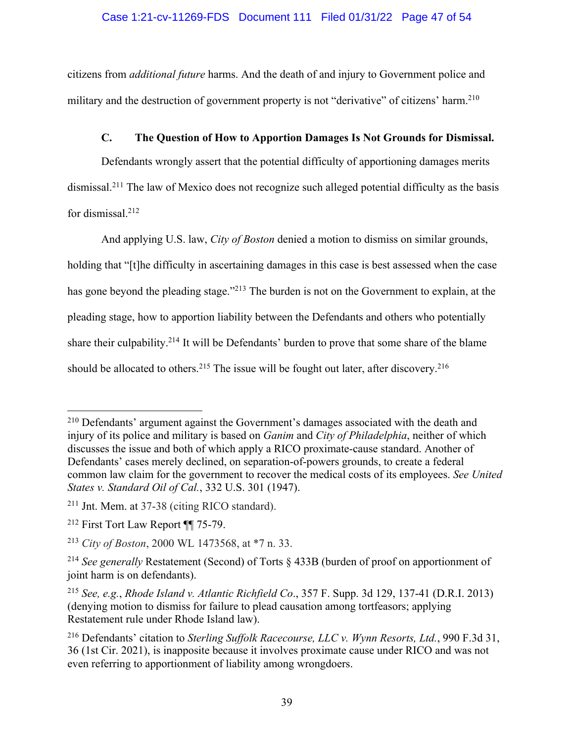citizens from *additional future* harms. And the death of and injury to Government police and military and the destruction of government property is not "derivative" of citizens' harm.<sup>210</sup>

## **C. The Question of How to Apportion Damages Is Not Grounds for Dismissal.**

Defendants wrongly assert that the potential difficulty of apportioning damages merits dismissal.211 The law of Mexico does not recognize such alleged potential difficulty as the basis for dismissal.212

And applying U.S. law, *City of Boston* denied a motion to dismiss on similar grounds,

holding that "[t]he difficulty in ascertaining damages in this case is best assessed when the case has gone beyond the pleading stage."<sup>213</sup> The burden is not on the Government to explain, at the pleading stage, how to apportion liability between the Defendants and others who potentially share their culpability.<sup>214</sup> It will be Defendants' burden to prove that some share of the blame should be allocated to others.<sup>215</sup> The issue will be fought out later, after discovery.<sup>216</sup>

<sup>210</sup> Defendants' argument against the Government's damages associated with the death and injury of its police and military is based on *Ganim* and *City of Philadelphia*, neither of which discusses the issue and both of which apply a RICO proximate-cause standard. Another of Defendants' cases merely declined, on separation-of-powers grounds, to create a federal common law claim for the government to recover the medical costs of its employees. *See United States v. Standard Oil of Cal.*, 332 U.S. 301 (1947).

<sup>211</sup> Jnt. Mem. at 37-38 (citing RICO standard).

<sup>212</sup> First Tort Law Report ¶¶ 75-79.

<sup>213</sup> *City of Boston*, 2000 WL 1473568, at \*7 n. 33.

<sup>214</sup> *See generally* Restatement (Second) of Torts § 433B (burden of proof on apportionment of joint harm is on defendants).

<sup>215</sup> *See, e.g.*, *Rhode Island v. Atlantic Richfield Co*., 357 F. Supp. 3d 129, 137-41 (D.R.I. 2013) (denying motion to dismiss for failure to plead causation among tortfeasors; applying Restatement rule under Rhode Island law).

<sup>216</sup> Defendants' citation to *Sterling Suffolk Racecourse, LLC v. Wynn Resorts, Ltd.*, 990 F.3d 31, 36 (1st Cir. 2021), is inapposite because it involves proximate cause under RICO and was not even referring to apportionment of liability among wrongdoers.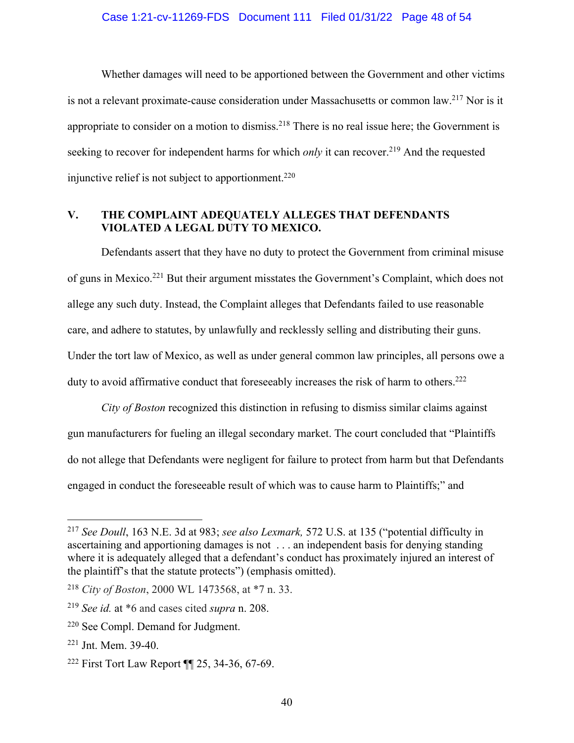Whether damages will need to be apportioned between the Government and other victims is not a relevant proximate-cause consideration under Massachusetts or common law. <sup>217</sup> Nor is it appropriate to consider on a motion to dismiss.<sup>218</sup> There is no real issue here; the Government is seeking to recover for independent harms for which *only* it can recover.<sup>219</sup> And the requested injunctive relief is not subject to apportionment.<sup>220</sup>

### **V. THE COMPLAINT ADEQUATELY ALLEGES THAT DEFENDANTS VIOLATED A LEGAL DUTY TO MEXICO.**

Defendants assert that they have no duty to protect the Government from criminal misuse of guns in Mexico.221 But their argument misstates the Government's Complaint, which does not allege any such duty. Instead, the Complaint alleges that Defendants failed to use reasonable care, and adhere to statutes, by unlawfully and recklessly selling and distributing their guns. Under the tort law of Mexico, as well as under general common law principles, all persons owe a duty to avoid affirmative conduct that foreseeably increases the risk of harm to others.<sup>222</sup>

*City of Boston* recognized this distinction in refusing to dismiss similar claims against gun manufacturers for fueling an illegal secondary market. The court concluded that "Plaintiffs do not allege that Defendants were negligent for failure to protect from harm but that Defendants engaged in conduct the foreseeable result of which was to cause harm to Plaintiffs;" and

<sup>217</sup> *See Doull*, 163 N.E. 3d at 983; *see also Lexmark,* 572 U.S. at 135 ("potential difficulty in ascertaining and apportioning damages is not . . . an independent basis for denying standing where it is adequately alleged that a defendant's conduct has proximately injured an interest of the plaintiff's that the statute protects") (emphasis omitted).

<sup>218</sup> *City of Boston*, 2000 WL 1473568, at \*7 n. 33.

<sup>219</sup> *See id.* at \*6 and cases cited *supra* n. 208.

<sup>220</sup> See Compl. Demand for Judgment.

<sup>221</sup> Jnt. Mem. 39-40.

<sup>222</sup> First Tort Law Report ¶¶ 25, 34-36, 67-69.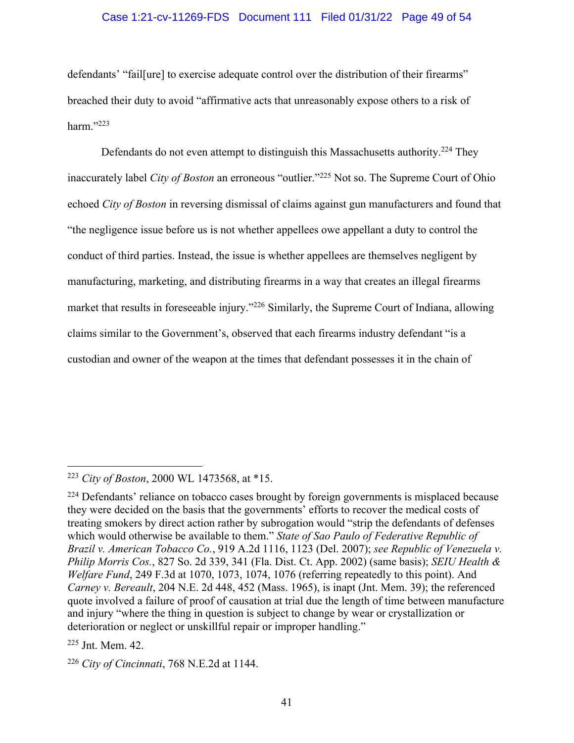#### Case 1:21-cv-11269-FDS Document 111 Filed 01/31/22 Page 49 of 54

defendants' "fail[ure] to exercise adequate control over the distribution of their firearms" breached their duty to avoid "affirmative acts that unreasonably expose others to a risk of harm."223

Defendants do not even attempt to distinguish this Massachusetts authority.<sup>224</sup> They inaccurately label *City of Boston* an erroneous "outlier."225 Not so. The Supreme Court of Ohio echoed *City of Boston* in reversing dismissal of claims against gun manufacturers and found that "the negligence issue before us is not whether appellees owe appellant a duty to control the conduct of third parties. Instead, the issue is whether appellees are themselves negligent by manufacturing, marketing, and distributing firearms in a way that creates an illegal firearms market that results in foreseeable injury."226 Similarly, the Supreme Court of Indiana, allowing claims similar to the Government's, observed that each firearms industry defendant "is a custodian and owner of the weapon at the times that defendant possesses it in the chain of

<sup>223</sup> *City of Boston*, 2000 WL 1473568, at \*15.

<sup>&</sup>lt;sup>224</sup> Defendants' reliance on tobacco cases brought by foreign governments is misplaced because they were decided on the basis that the governments' efforts to recover the medical costs of treating smokers by direct action rather by subrogation would "strip the defendants of defenses which would otherwise be available to them." *State of Sao Paulo of Federative Republic of Brazil v. American Tobacco Co.*, 919 A.2d 1116, 1123 (Del. 2007); *see Republic of Venezuela v. Philip Morris Cos.*, 827 So. 2d 339, 341 (Fla. Dist. Ct. App. 2002) (same basis); *SEIU Health & Welfare Fund*, 249 F.3d at 1070, 1073, 1074, 1076 (referring repeatedly to this point). And *Carney v. Bereault*, 204 N.E. 2d 448, 452 (Mass. 1965), is inapt (Jnt. Mem. 39); the referenced quote involved a failure of proof of causation at trial due the length of time between manufacture and injury "where the thing in question is subject to change by wear or crystallization or deterioration or neglect or unskillful repair or improper handling."

<sup>225</sup> Jnt. Mem. 42.

<sup>226</sup> *City of Cincinnati*, 768 N.E.2d at 1144.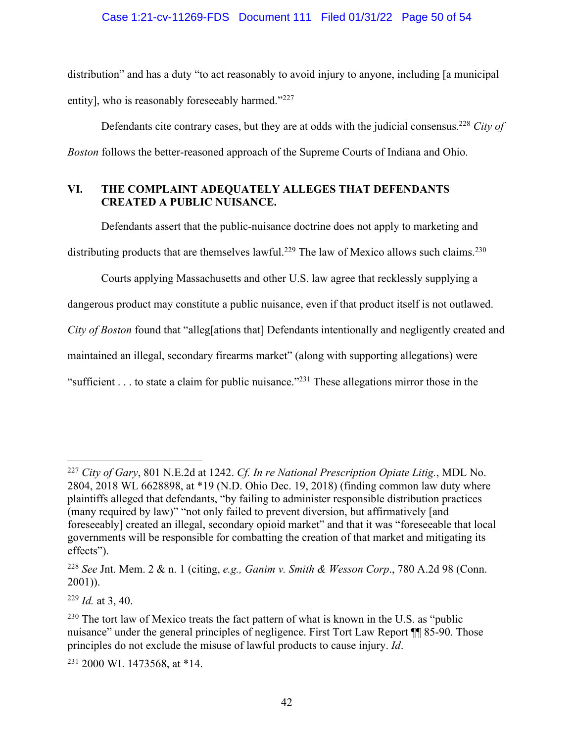distribution" and has a duty "to act reasonably to avoid injury to anyone, including [a municipal entity], who is reasonably foreseeably harmed."<sup>227</sup>

Defendants cite contrary cases, but they are at odds with the judicial consensus.228 *City of Boston* follows the better-reasoned approach of the Supreme Courts of Indiana and Ohio.

## **VI. THE COMPLAINT ADEQUATELY ALLEGES THAT DEFENDANTS CREATED A PUBLIC NUISANCE.**

Defendants assert that the public-nuisance doctrine does not apply to marketing and distributing products that are themselves lawful.<sup>229</sup> The law of Mexico allows such claims.<sup>230</sup>

Courts applying Massachusetts and other U.S. law agree that recklessly supplying a dangerous product may constitute a public nuisance, even if that product itself is not outlawed. *City of Boston* found that "alleg[ations that] Defendants intentionally and negligently created and maintained an illegal, secondary firearms market" (along with supporting allegations) were "sufficient . . . to state a claim for public nuisance."<sup>231</sup> These allegations mirror those in the

<sup>227</sup> *City of Gary*, 801 N.E.2d at 1242. *Cf. In re National Prescription Opiate Litig.*, MDL No. 2804, 2018 WL 6628898, at \*19 (N.D. Ohio Dec. 19, 2018) (finding common law duty where plaintiffs alleged that defendants, "by failing to administer responsible distribution practices (many required by law)" "not only failed to prevent diversion, but affirmatively [and foreseeably] created an illegal, secondary opioid market" and that it was "foreseeable that local governments will be responsible for combatting the creation of that market and mitigating its effects").

<sup>228</sup> *See* Jnt. Mem. 2 & n. 1 (citing, *e.g., Ganim v. Smith & Wesson Corp*., 780 A.2d 98 (Conn. 2001)).

<sup>229</sup> *Id.* at 3, 40.

 $230$  The tort law of Mexico treats the fact pattern of what is known in the U.S. as "public" nuisance" under the general principles of negligence. First Tort Law Report  $\P$  85-90. Those principles do not exclude the misuse of lawful products to cause injury. *Id*.

<sup>231</sup> 2000 WL 1473568, at \*14.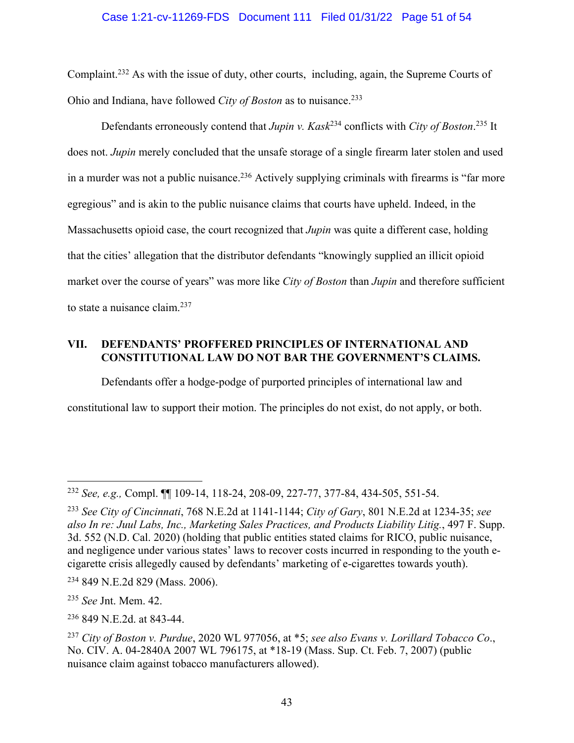## Case 1:21-cv-11269-FDS Document 111 Filed 01/31/22 Page 51 of 54

Complaint.232 As with the issue of duty, other courts, including, again, the Supreme Courts of Ohio and Indiana, have followed *City of Boston* as to nuisance. 233

Defendants erroneously contend that *Jupin v. Kask*<sup>234</sup> conflicts with *City of Boston*. <sup>235</sup> It does not. *Jupin* merely concluded that the unsafe storage of a single firearm later stolen and used in a murder was not a public nuisance.<sup>236</sup> Actively supplying criminals with firearms is "far more" egregious" and is akin to the public nuisance claims that courts have upheld. Indeed, in the Massachusetts opioid case, the court recognized that *Jupin* was quite a different case, holding that the cities' allegation that the distributor defendants "knowingly supplied an illicit opioid market over the course of years" was more like *City of Boston* than *Jupin* and therefore sufficient to state a nuisance claim.237

## **VII. DEFENDANTS' PROFFERED PRINCIPLES OF INTERNATIONAL AND CONSTITUTIONAL LAW DO NOT BAR THE GOVERNMENT'S CLAIMS.**

Defendants offer a hodge-podge of purported principles of international law and constitutional law to support their motion. The principles do not exist, do not apply, or both.

<sup>232</sup> *See, e.g.,* Compl. ¶¶ 109-14, 118-24, 208-09, 227-77, 377-84, 434-505, 551-54.

<sup>233</sup> *See City of Cincinnati*, 768 N.E.2d at 1141-1144; *City of Gary*, 801 N.E.2d at 1234-35; *see also In re: Juul Labs, Inc., Marketing Sales Practices, and Products Liability Litig.*, 497 F. Supp. 3d. 552 (N.D. Cal. 2020) (holding that public entities stated claims for RICO, public nuisance, and negligence under various states' laws to recover costs incurred in responding to the youth ecigarette crisis allegedly caused by defendants' marketing of e-cigarettes towards youth).

<sup>234</sup> 849 N.E.2d 829 (Mass. 2006).

<sup>235</sup> *See* Jnt. Mem. 42.

<sup>236</sup> 849 N.E.2d. at 843-44.

<sup>237</sup> *City of Boston v. Purdue*, 2020 WL 977056, at \*5; *see also Evans v. Lorillard Tobacco Co*., No. CIV. A. 04-2840A 2007 WL 796175, at \*18-19 (Mass. Sup. Ct. Feb. 7, 2007) (public nuisance claim against tobacco manufacturers allowed).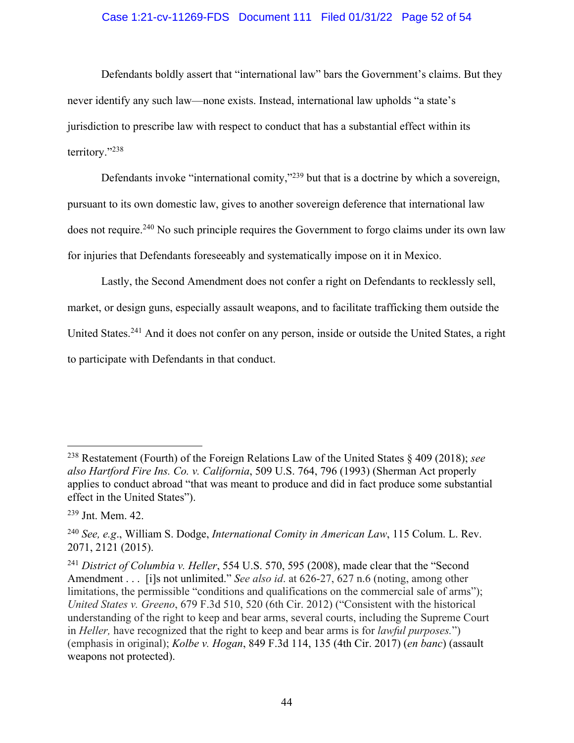#### Case 1:21-cv-11269-FDS Document 111 Filed 01/31/22 Page 52 of 54

Defendants boldly assert that "international law" bars the Government's claims. But they never identify any such law—none exists. Instead, international law upholds "a state's jurisdiction to prescribe law with respect to conduct that has a substantial effect within its territory."238

Defendants invoke "international comity,"<sup>239</sup> but that is a doctrine by which a sovereign, pursuant to its own domestic law, gives to another sovereign deference that international law does not require.<sup>240</sup> No such principle requires the Government to forgo claims under its own law for injuries that Defendants foreseeably and systematically impose on it in Mexico.

Lastly, the Second Amendment does not confer a right on Defendants to recklessly sell, market, or design guns, especially assault weapons, and to facilitate trafficking them outside the United States.<sup>241</sup> And it does not confer on any person, inside or outside the United States, a right to participate with Defendants in that conduct.

<sup>238</sup> Restatement (Fourth) of the Foreign Relations Law of the United States § 409 (2018); *see also Hartford Fire Ins. Co. v. California*, 509 U.S. 764, 796 (1993) (Sherman Act properly applies to conduct abroad "that was meant to produce and did in fact produce some substantial effect in the United States").

<sup>239</sup> Jnt. Mem. 42.

<sup>240</sup> *See, e.g*., William S. Dodge, *International Comity in American Law*, 115 Colum. L. Rev. 2071, 2121 (2015).

<sup>241</sup> *District of Columbia v. Heller*, 554 U.S. 570, 595 (2008), made clear that the "Second Amendment . . . [i]s not unlimited." *See also id*. at 626-27, 627 n.6 (noting, among other limitations, the permissible "conditions and qualifications on the commercial sale of arms"); *United States v. Greeno*, 679 F.3d 510, 520 (6th Cir. 2012) ("Consistent with the historical understanding of the right to keep and bear arms, several courts, including the Supreme Court in *Heller,* have recognized that the right to keep and bear arms is for *lawful purposes.*") (emphasis in original); *Kolbe v. Hogan*, 849 F.3d 114, 135 (4th Cir. 2017) (*en banc*) (assault weapons not protected).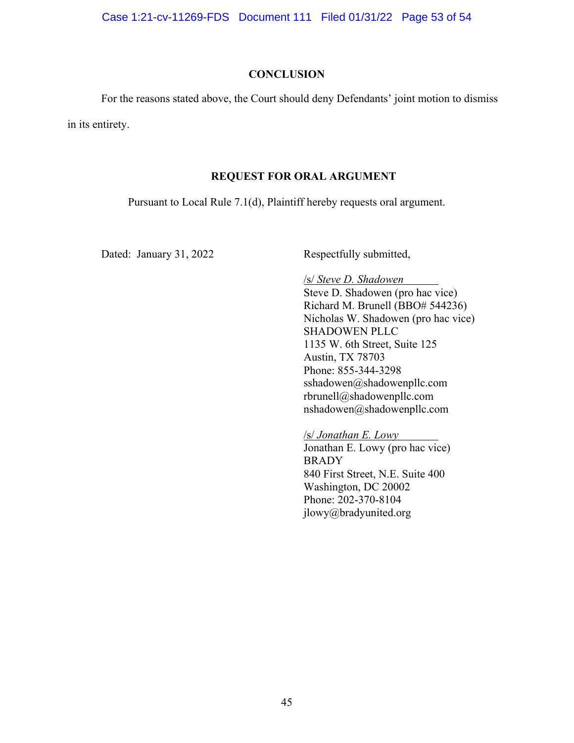Case 1:21-cv-11269-FDS Document 111 Filed 01/31/22 Page 53 of 54

#### **CONCLUSION**

For the reasons stated above, the Court should deny Defendants' joint motion to dismiss

in its entirety.

#### **REQUEST FOR ORAL ARGUMENT**

Pursuant to Local Rule 7.1(d), Plaintiff hereby requests oral argument.

Dated: January 31, 2022 Respectfully submitted,

/s/ *Steve D. Shadowen* Steve D. Shadowen (pro hac vice) Richard M. Brunell (BBO# 544236) Nicholas W. Shadowen (pro hac vice) SHADOWEN PLLC 1135 W. 6th Street, Suite 125 Austin, TX 78703 Phone: 855-344-3298 sshadowen@shadowenpllc.com rbrunell@shadowenpllc.com nshadowen@shadowenpllc.com

/s/ *Jonathan E. Lowy* Jonathan E. Lowy (pro hac vice) **BRADY** 840 First Street, N.E. Suite 400 Washington, DC 20002 Phone: 202-370-8104 jlowy@bradyunited.org